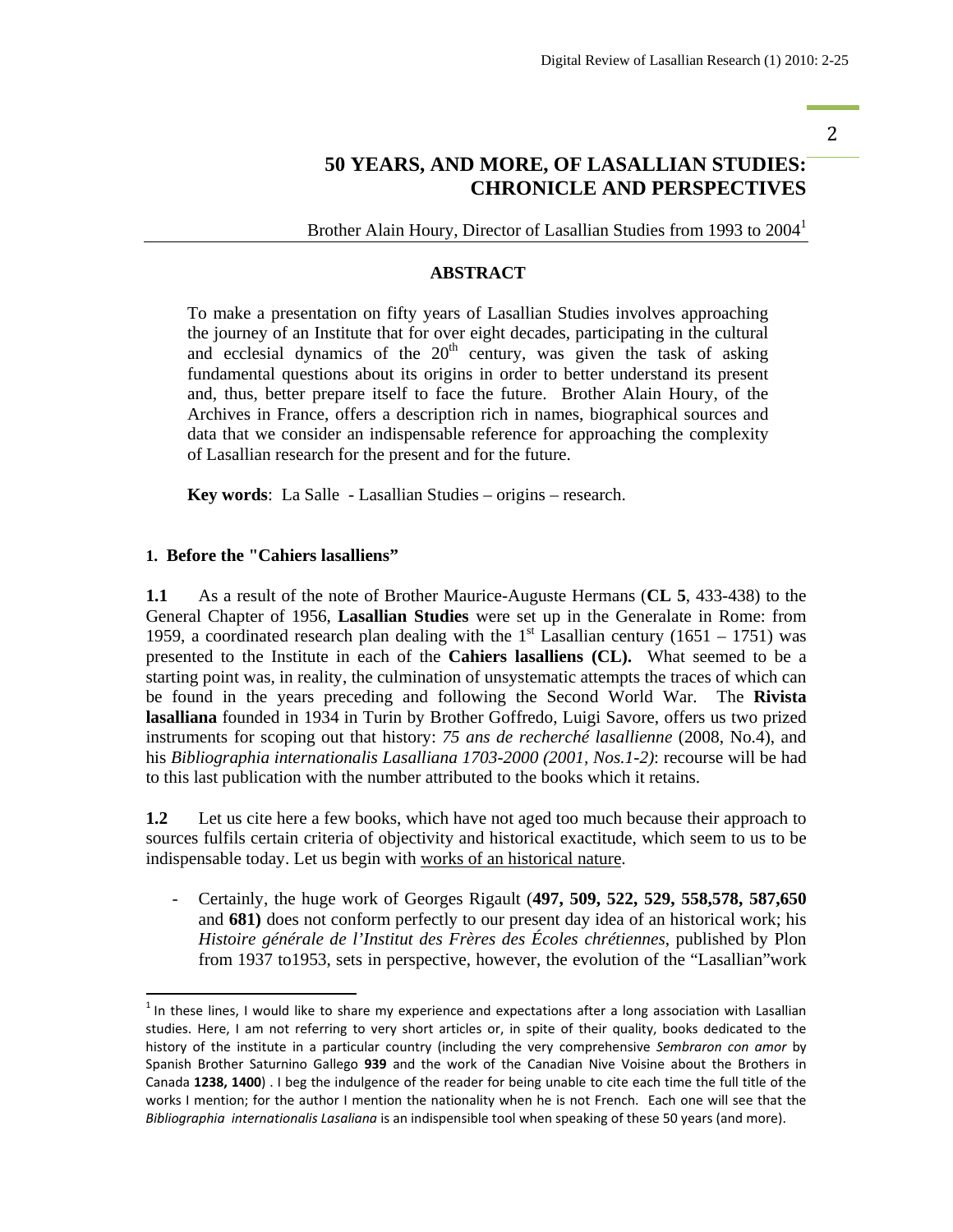#### 2

# **50 YEARS, AND MORE, OF LASALLIAN STUDIES: CHRONICLE AND PERSPECTIVES**

Brother Alain Houry, Director of Lasallian Studies from 1993 to 2004<sup>1</sup>

## **ABSTRACT**

To make a presentation on fifty years of Lasallian Studies involves approaching the journey of an Institute that for over eight decades, participating in the cultural and ecclesial dynamics of the  $20<sup>th</sup>$  century, was given the task of asking fundamental questions about its origins in order to better understand its present and, thus, better prepare itself to face the future. Brother Alain Houry, of the Archives in France, offers a description rich in names, biographical sources and data that we consider an indispensable reference for approaching the complexity of Lasallian research for the present and for the future.

**Key words**: La Salle - Lasallian Studies – origins – research.

#### **1. Before the "Cahiers lasalliens"**

**1.1** As a result of the note of Brother Maurice-Auguste Hermans (**CL 5**, 433-438) to the General Chapter of 1956, **Lasallian Studies** were set up in the Generalate in Rome: from 1959, a coordinated research plan dealing with the 1<sup>st</sup> Lasallian century (1651 – 1751) was presented to the Institute in each of the **Cahiers lasalliens (CL).** What seemed to be a starting point was, in reality, the culmination of unsystematic attempts the traces of which can be found in the years preceding and following the Second World War. The **Rivista lasalliana** founded in 1934 in Turin by Brother Goffredo, Luigi Savore, offers us two prized instruments for scoping out that history: *75 ans de recherché lasallienne* (2008, No.4), and his *Bibliographia internationalis Lasalliana 1703-2000 (2001, Nos.1-2)*: recourse will be had to this last publication with the number attributed to the books which it retains.

**1.2** Let us cite here a few books, which have not aged too much because their approach to sources fulfils certain criteria of objectivity and historical exactitude, which seem to us to be indispensable today. Let us begin with works of an historical nature.

- Certainly, the huge work of Georges Rigault (**497, 509, 522, 529, 558,578, 587,650**  and **681)** does not conform perfectly to our present day idea of an historical work; his *Histoire générale de l'Institut des Frères des Écoles chrétiennes*, published by Plon from 1937 to1953, sets in perspective, however, the evolution of the "Lasallian"work

 $<sup>1</sup>$  In these lines, I would like to share my experience and expectations after a long association with Lasallian</sup> studies. Here, I am not referring to very short articles or, in spite of their quality, books dedicated to the history of the institute in a particular country (including the very comprehensive *Sembraron con amor* by Spanish Brother Saturnino Gallego **939** and the work of the Canadian Nive Voisine about the Brothers in Canada **1238, 1400**) . I beg the indulgence of the reader for being unable to cite each time the full title of the works I mention; for the author I mention the nationality when he is not French. Each one will see that the *Bibliographia internationalis Lasaliana* is an indispensible tool when speaking of these 50 years (and more).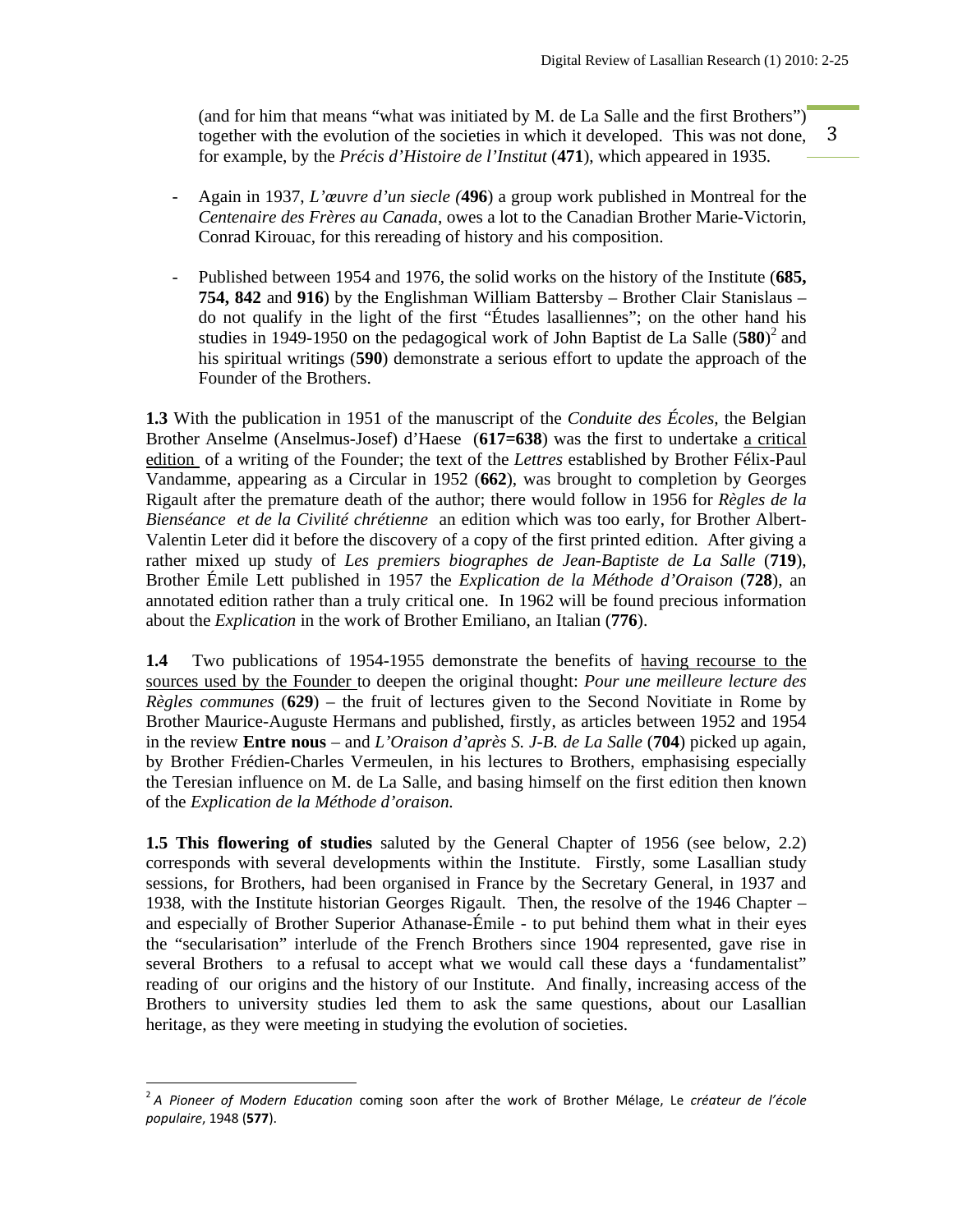3 (and for him that means "what was initiated by M. de La Salle and the first Brothers") together with the evolution of the societies in which it developed. This was not done, for example, by the *Précis d'Histoire de l'Institut* (**471**), which appeared in 1935.

- Again in 1937, *L'œuvre d'un siecle (***496**) a group work published in Montreal for the *Centenaire des Frères au Canada*, owes a lot to the Canadian Brother Marie-Victorin, Conrad Kirouac, for this rereading of history and his composition.
- Published between 1954 and 1976, the solid works on the history of the Institute (685, **754, 842** and **916**) by the Englishman William Battersby – Brother Clair Stanislaus – do not qualify in the light of the first "Études lasalliennes"; on the other hand his studies in 1949-1950 on the pedagogical work of John Baptist de La Salle (580)<sup>2</sup> and his spiritual writings (**590**) demonstrate a serious effort to update the approach of the Founder of the Brothers.

**1.3** With the publication in 1951 of the manuscript of the *Conduite des Écoles,* the Belgian Brother Anselme (Anselmus-Josef) d'Haese (**617=638**) was the first to undertake a critical edition of a writing of the Founder; the text of the *Lettres* established by Brother Félix-Paul Vandamme, appearing as a Circular in 1952 (**662**), was brought to completion by Georges Rigault after the premature death of the author; there would follow in 1956 for *Règles de la Bienséance et de la Civilité chrétienne* an edition which was too early, for Brother Albert-Valentin Leter did it before the discovery of a copy of the first printed edition. After giving a rather mixed up study of *Les premiers biographes de Jean-Baptiste de La Salle* (**719**), Brother Émile Lett published in 1957 the *Explication de la Méthode d'Oraison* (**728**), an annotated edition rather than a truly critical one. In 1962 will be found precious information about the *Explication* in the work of Brother Emiliano, an Italian (**776**).

**1.4** Two publications of 1954-1955 demonstrate the benefits of having recourse to the sources used by the Founder to deepen the original thought: *Pour une meilleure lecture des Règles communes* (**629**) – the fruit of lectures given to the Second Novitiate in Rome by Brother Maurice-Auguste Hermans and published, firstly, as articles between 1952 and 1954 in the review **Entre nous** – and *L'Oraison d'après S. J-B. de La Salle* (**704**) picked up again, by Brother Frédien-Charles Vermeulen, in his lectures to Brothers, emphasising especially the Teresian influence on M. de La Salle, and basing himself on the first edition then known of the *Explication de la Méthode d'oraison.* 

**1.5 This flowering of studies** saluted by the General Chapter of 1956 (see below, 2.2) corresponds with several developments within the Institute. Firstly, some Lasallian study sessions, for Brothers, had been organised in France by the Secretary General, in 1937 and 1938, with the Institute historian Georges Rigault. Then, the resolve of the 1946 Chapter – and especially of Brother Superior Athanase-Émile - to put behind them what in their eyes the "secularisation" interlude of the French Brothers since 1904 represented, gave rise in several Brothers to a refusal to accept what we would call these days a 'fundamentalist" reading of our origins and the history of our Institute. And finally, increasing access of the Brothers to university studies led them to ask the same questions, about our Lasallian heritage, as they were meeting in studying the evolution of societies.

<sup>2</sup> *A Pioneer of Modern Education* coming soon after the work of Brother Mélage, Le *créateur de l'école populaire*, 1948 (**577**).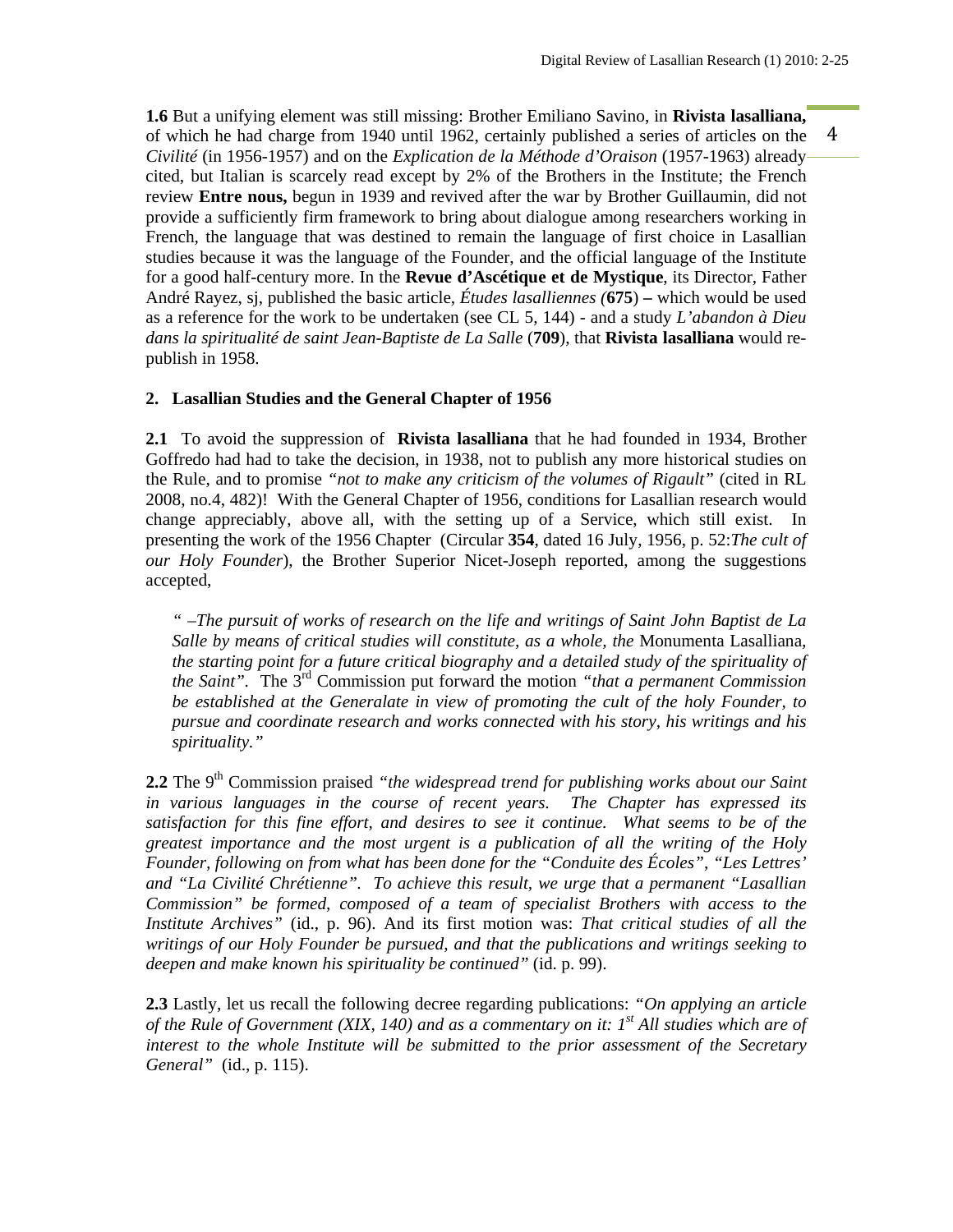4 **1.6** But a unifying element was still missing: Brother Emiliano Savino, in **Rivista lasalliana,**  of which he had charge from 1940 until 1962, certainly published a series of articles on the *Civilité* (in 1956-1957) and on the *Explication de la Méthode d'Oraison* (1957-1963) already cited, but Italian is scarcely read except by 2% of the Brothers in the Institute; the French review **Entre nous,** begun in 1939 and revived after the war by Brother Guillaumin, did not provide a sufficiently firm framework to bring about dialogue among researchers working in French, the language that was destined to remain the language of first choice in Lasallian studies because it was the language of the Founder, and the official language of the Institute for a good half-century more. In the **Revue d'Ascétique et de Mystique**, its Director, Father André Rayez, sj, published the basic article, *Études lasalliennes (***675**) **–** which would be used as a reference for the work to be undertaken (see CL 5, 144) - and a study *L'abandon à Dieu dans la spiritualité de saint Jean-Baptiste de La Salle* (**709**), that **Rivista lasalliana** would republish in 1958.

## **2. Lasallian Studies and the General Chapter of 1956**

**2.1** To avoid the suppression of **Rivista lasalliana** that he had founded in 1934, Brother Goffredo had had to take the decision, in 1938, not to publish any more historical studies on the Rule, and to promise *"not to make any criticism of the volumes of Rigault"* (cited in RL 2008, no.4, 482)! With the General Chapter of 1956, conditions for Lasallian research would change appreciably, above all, with the setting up of a Service, which still exist. In presenting the work of the 1956 Chapter (Circular **354**, dated 16 July, 1956, p. 52:*The cult of our Holy Founder*), the Brother Superior Nicet-Joseph reported, among the suggestions accepted,

*" –The pursuit of works of research on the life and writings of Saint John Baptist de La Salle by means of critical studies will constitute, as a whole, the* Monumenta Lasalliana*, the starting point for a future critical biography and a detailed study of the spirituality of the Saint".* The 3rd Commission put forward the motion *"that a permanent Commission be established at the Generalate in view of promoting the cult of the holy Founder, to pursue and coordinate research and works connected with his story, his writings and his spirituality."* 

**2.2** The 9<sup>th</sup> Commission praised *"the widespread trend for publishing works about our Saint in various languages in the course of recent years. The Chapter has expressed its*  satisfaction for this fine effort, and desires to see it continue. What seems to be of the *greatest importance and the most urgent is a publication of all the writing of the Holy Founder, following on from what has been done for the "Conduite des Écoles", "Les Lettres' and "La Civilité Chrétienne". To achieve this result, we urge that a permanent "Lasallian Commission" be formed, composed of a team of specialist Brothers with access to the Institute Archives"* (id., p. 96). And its first motion was: *That critical studies of all the writings of our Holy Founder be pursued, and that the publications and writings seeking to deepen and make known his spirituality be continued"* (id. p. 99).

**2.3** Lastly, let us recall the following decree regarding publications: *"On applying an article of the Rule of Government (XIX, 140) and as a commentary on it: 1st All studies which are of interest to the whole Institute will be submitted to the prior assessment of the Secretary General"* (id., p. 115).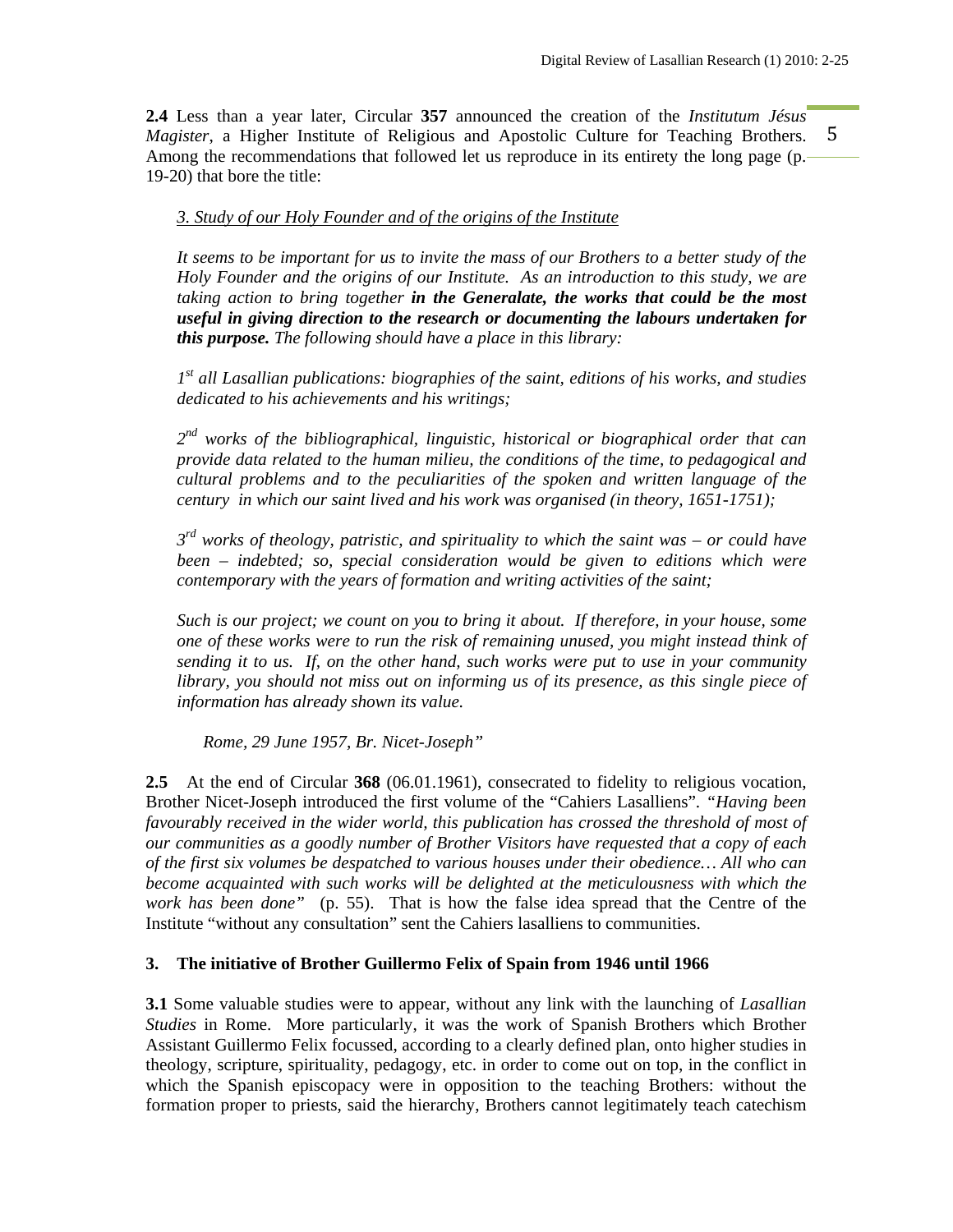5 **2.4** Less than a year later, Circular **357** announced the creation of the *Institutum Jésus Magister*, a Higher Institute of Religious and Apostolic Culture for Teaching Brothers. Among the recommendations that followed let us reproduce in its entirety the long page (p. 19-20) that bore the title:

#### *3. Study of our Holy Founder and of the origins of the Institute*

*It seems to be important for us to invite the mass of our Brothers to a better study of the Holy Founder and the origins of our Institute. As an introduction to this study, we are taking action to bring together in the Generalate, the works that could be the most useful in giving direction to the research or documenting the labours undertaken for this purpose. The following should have a place in this library:* 

*1st all Lasallian publications: biographies of the saint, editions of his works, and studies dedicated to his achievements and his writings;* 

*2nd works of the bibliographical, linguistic, historical or biographical order that can provide data related to the human milieu, the conditions of the time, to pedagogical and cultural problems and to the peculiarities of the spoken and written language of the century in which our saint lived and his work was organised (in theory, 1651-1751);* 

*3rd works of theology, patristic, and spirituality to which the saint was – or could have been – indebted; so, special consideration would be given to editions which were contemporary with the years of formation and writing activities of the saint;* 

*Such is our project; we count on you to bring it about. If therefore, in your house, some one of these works were to run the risk of remaining unused, you might instead think of sending it to us. If, on the other hand, such works were put to use in your community library, you should not miss out on informing us of its presence, as this single piece of information has already shown its value.* 

 *Rome, 29 June 1957, Br. Nicet-Joseph"*

**2.5** At the end of Circular **368** (06.01.1961), consecrated to fidelity to religious vocation, Brother Nicet-Joseph introduced the first volume of the "Cahiers Lasalliens". *"Having been favourably received in the wider world, this publication has crossed the threshold of most of our communities as a goodly number of Brother Visitors have requested that a copy of each of the first six volumes be despatched to various houses under their obedience… All who can become acquainted with such works will be delighted at the meticulousness with which the work has been done"* (p. 55). That is how the false idea spread that the Centre of the Institute "without any consultation" sent the Cahiers lasalliens to communities.

## **3. The initiative of Brother Guillermo Felix of Spain from 1946 until 1966**

**3.1** Some valuable studies were to appear, without any link with the launching of *Lasallian Studies* in Rome. More particularly, it was the work of Spanish Brothers which Brother Assistant Guillermo Felix focussed, according to a clearly defined plan, onto higher studies in theology, scripture, spirituality, pedagogy, etc. in order to come out on top, in the conflict in which the Spanish episcopacy were in opposition to the teaching Brothers: without the formation proper to priests, said the hierarchy, Brothers cannot legitimately teach catechism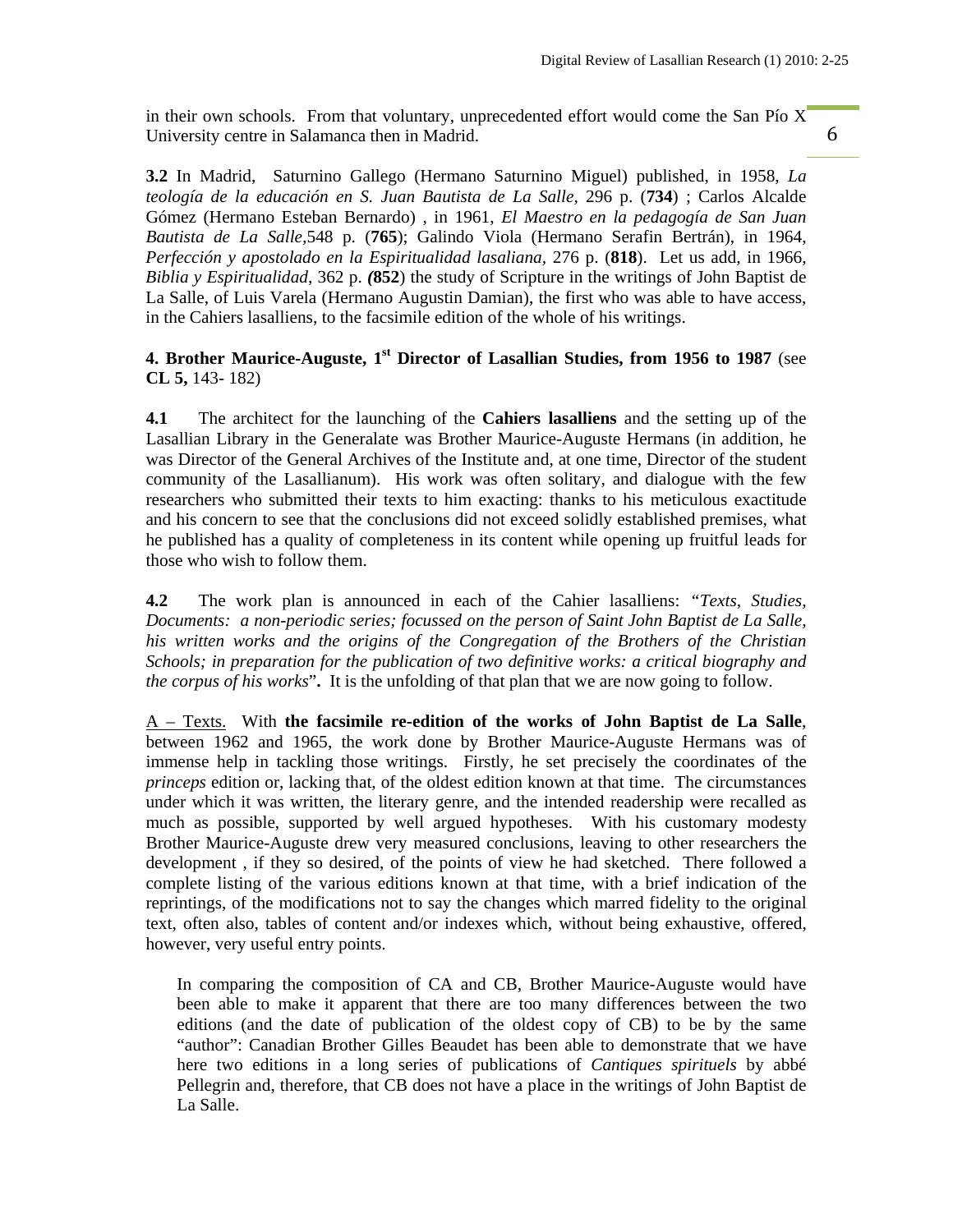in their own schools. From that voluntary, unprecedented effort would come the San Pío  $X<sup>T</sup>$ University centre in Salamanca then in Madrid.

6

**3.2** In Madrid, Saturnino Gallego (Hermano Saturnino Miguel) published, in 1958, *La teología de la educación en S. Juan Bautista de La Salle,* 296 p. (**734**) ; Carlos Alcalde Gómez (Hermano Esteban Bernardo) , in 1961, *El Maestro en la pedagogía de San Juan Bautista de La Salle,*548 p. (**765**); Galindo Viola (Hermano Serafin Bertrán), in 1964, *Perfección y apostolado en la Espiritualidad lasaliana,* 276 p. (**818**). Let us add, in 1966, *Biblia y Espiritualidad,* 362 p. *(***852**) the study of Scripture in the writings of John Baptist de La Salle, of Luis Varela (Hermano Augustin Damian), the first who was able to have access, in the Cahiers lasalliens, to the facsimile edition of the whole of his writings.

# **4. Brother Maurice-Auguste, 1st Director of Lasallian Studies, from 1956 to 1987** (see **CL 5,** 143- 182)

**4.1** The architect for the launching of the **Cahiers lasalliens** and the setting up of the Lasallian Library in the Generalate was Brother Maurice-Auguste Hermans (in addition, he was Director of the General Archives of the Institute and, at one time, Director of the student community of the Lasallianum). His work was often solitary, and dialogue with the few researchers who submitted their texts to him exacting: thanks to his meticulous exactitude and his concern to see that the conclusions did not exceed solidly established premises, what he published has a quality of completeness in its content while opening up fruitful leads for those who wish to follow them.

**4.2** The work plan is announced in each of the Cahier lasalliens: *"Texts, Studies, Documents: a non-periodic series; focussed on the person of Saint John Baptist de La Salle, his written works and the origins of the Congregation of the Brothers of the Christian Schools; in preparation for the publication of two definitive works: a critical biography and the corpus of his works*"**.** It is the unfolding of that plan that we are now going to follow.

A – Texts. With **the facsimile re-edition of the works of John Baptist de La Salle**, between 1962 and 1965, the work done by Brother Maurice-Auguste Hermans was of immense help in tackling those writings. Firstly, he set precisely the coordinates of the *princeps* edition or, lacking that, of the oldest edition known at that time. The circumstances under which it was written, the literary genre, and the intended readership were recalled as much as possible, supported by well argued hypotheses. With his customary modesty Brother Maurice-Auguste drew very measured conclusions, leaving to other researchers the development , if they so desired, of the points of view he had sketched. There followed a complete listing of the various editions known at that time, with a brief indication of the reprintings, of the modifications not to say the changes which marred fidelity to the original text, often also, tables of content and/or indexes which, without being exhaustive, offered, however, very useful entry points.

In comparing the composition of CA and CB, Brother Maurice-Auguste would have been able to make it apparent that there are too many differences between the two editions (and the date of publication of the oldest copy of CB) to be by the same "author": Canadian Brother Gilles Beaudet has been able to demonstrate that we have here two editions in a long series of publications of *Cantiques spirituels* by abbé Pellegrin and, therefore, that CB does not have a place in the writings of John Baptist de La Salle.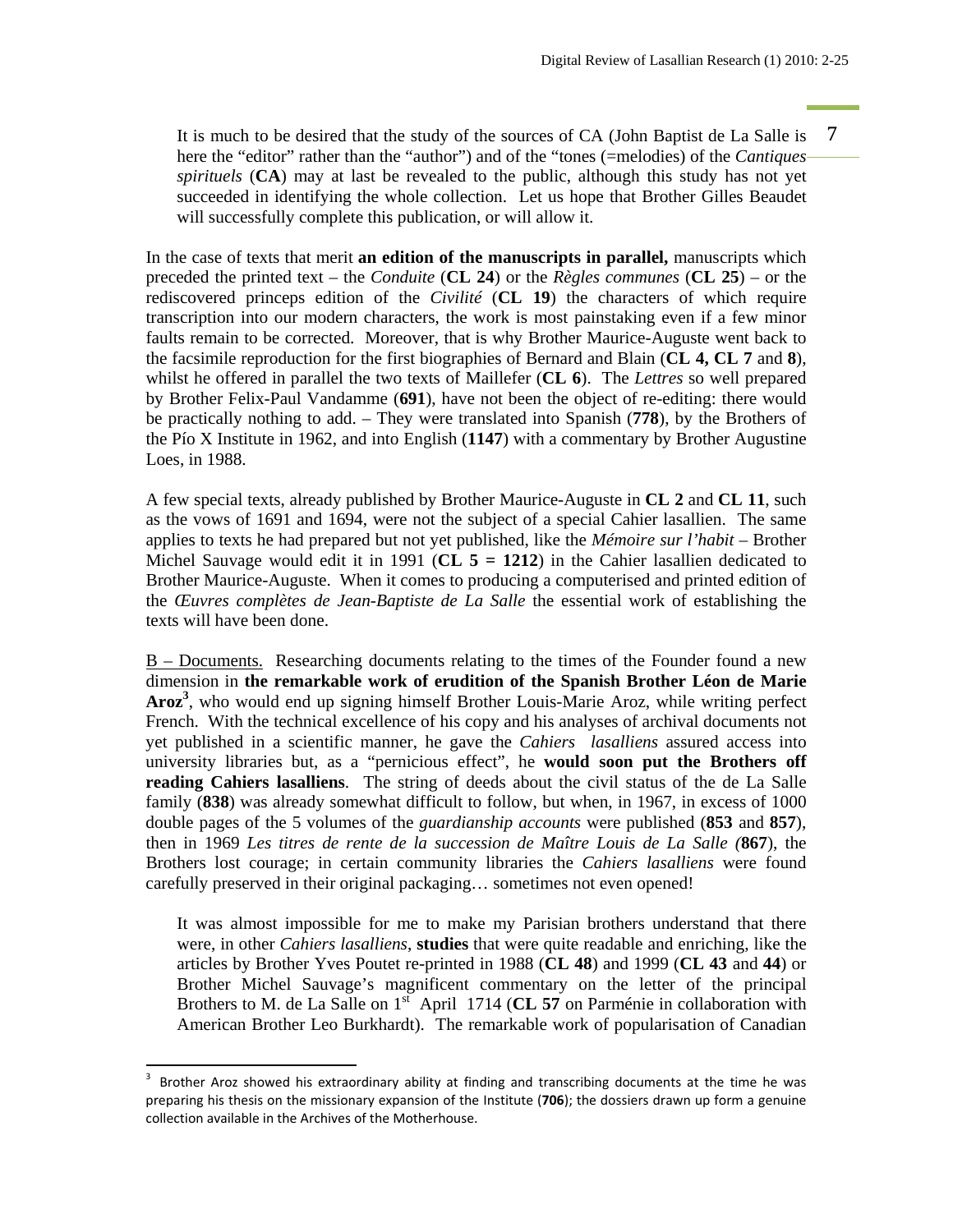It is much to be desired that the study of the sources of CA (John Baptist de La Salle is 7 here the "editor" rather than the "author") and of the "tones (=melodies) of the *Cantiques spirituels* (**CA**) may at last be revealed to the public, although this study has not yet succeeded in identifying the whole collection. Let us hope that Brother Gilles Beaudet will successfully complete this publication, or will allow it.

In the case of texts that merit **an edition of the manuscripts in parallel,** manuscripts which preceded the printed text – the *Conduite* (**CL 24**) or the *Règles communes* (**CL 25**) – or the rediscovered princeps edition of the *Civilité* (**CL 19**) the characters of which require transcription into our modern characters, the work is most painstaking even if a few minor faults remain to be corrected. Moreover, that is why Brother Maurice-Auguste went back to the facsimile reproduction for the first biographies of Bernard and Blain (**CL 4, CL 7** and **8**), whilst he offered in parallel the two texts of Maillefer (**CL 6**). The *Lettres* so well prepared by Brother Felix-Paul Vandamme (**691**), have not been the object of re-editing: there would be practically nothing to add. – They were translated into Spanish (**778**), by the Brothers of the Pío X Institute in 1962, and into English (**1147**) with a commentary by Brother Augustine Loes, in 1988.

A few special texts, already published by Brother Maurice-Auguste in **CL 2** and **CL 11**, such as the vows of 1691 and 1694, were not the subject of a special Cahier lasallien. The same applies to texts he had prepared but not yet published, like the *Mémoire sur l'habit –* Brother Michel Sauvage would edit it in 1991 (**CL 5 = 1212**) in the Cahier lasallien dedicated to Brother Maurice-Auguste. When it comes to producing a computerised and printed edition of the *Œuvres complètes de Jean-Baptiste de La Salle* the essential work of establishing the texts will have been done.

B – Documents. Researching documents relating to the times of the Founder found a new dimension in **the remarkable work of erudition of the Spanish Brother Léon de Marie Aroz3** , who would end up signing himself Brother Louis-Marie Aroz, while writing perfect French. With the technical excellence of his copy and his analyses of archival documents not yet published in a scientific manner, he gave the *Cahiers lasalliens* assured access into university libraries but, as a "pernicious effect", he **would soon put the Brothers off reading Cahiers lasalliens**. The string of deeds about the civil status of the de La Salle family (**838**) was already somewhat difficult to follow, but when, in 1967, in excess of 1000 double pages of the 5 volumes of the *guardianship accounts* were published (**853** and **857**), then in 1969 *Les titres de rente de la succession de Maître Louis de La Salle (***867**), the Brothers lost courage; in certain community libraries the *Cahiers lasalliens* were found carefully preserved in their original packaging… sometimes not even opened!

It was almost impossible for me to make my Parisian brothers understand that there were, in other *Cahiers lasalliens*, **studies** that were quite readable and enriching, like the articles by Brother Yves Poutet re-printed in 1988 (**CL 48**) and 1999 (**CL 43** and **44**) or Brother Michel Sauvage's magnificent commentary on the letter of the principal Brothers to M. de La Salle on 1<sup>st</sup> April 1714 (CL 57 on Parménie in collaboration with American Brother Leo Burkhardt). The remarkable work of popularisation of Canadian

<sup>3</sup> Brother Aroz showed his extraordinary ability at finding and transcribing documents at the time he was preparing his thesis on the missionary expansion of the Institute (**706**); the dossiers drawn up form a genuine collection available in the Archives of the Motherhouse.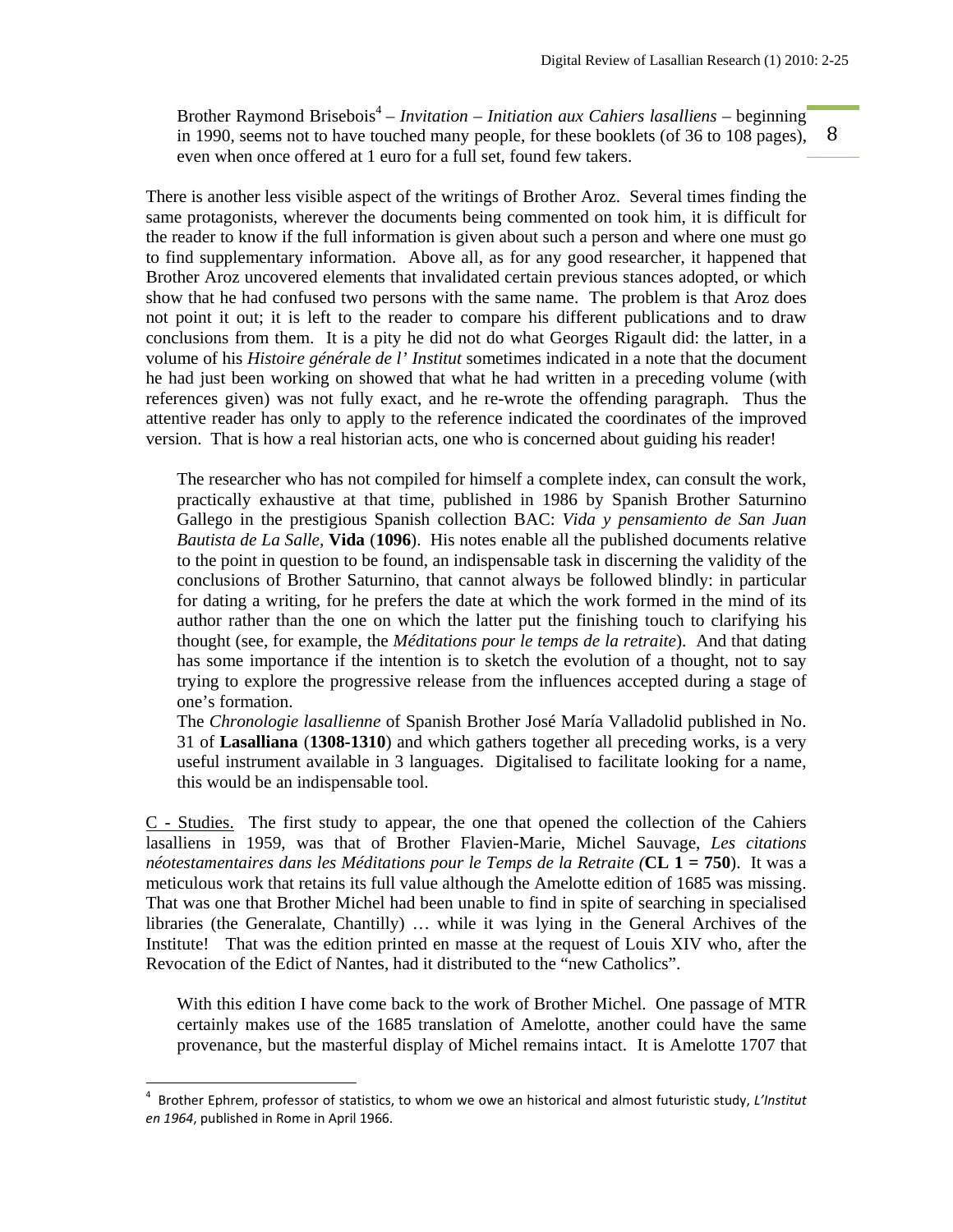8 Brother Raymond Brisebois<sup>4</sup> – *Invitation – Initiation aux Cahiers lasalliens* – beginning in 1990, seems not to have touched many people, for these booklets (of 36 to 108 pages), even when once offered at 1 euro for a full set, found few takers.

There is another less visible aspect of the writings of Brother Aroz. Several times finding the same protagonists, wherever the documents being commented on took him, it is difficult for the reader to know if the full information is given about such a person and where one must go to find supplementary information. Above all, as for any good researcher, it happened that Brother Aroz uncovered elements that invalidated certain previous stances adopted, or which show that he had confused two persons with the same name. The problem is that Aroz does not point it out; it is left to the reader to compare his different publications and to draw conclusions from them. It is a pity he did not do what Georges Rigault did: the latter, in a volume of his *Histoire générale de l' Institut* sometimes indicated in a note that the document he had just been working on showed that what he had written in a preceding volume (with references given) was not fully exact, and he re-wrote the offending paragraph. Thus the attentive reader has only to apply to the reference indicated the coordinates of the improved version. That is how a real historian acts, one who is concerned about guiding his reader!

The researcher who has not compiled for himself a complete index, can consult the work, practically exhaustive at that time, published in 1986 by Spanish Brother Saturnino Gallego in the prestigious Spanish collection BAC: *Vida y pensamiento de San Juan Bautista de La Salle,* **Vida** (**1096**). His notes enable all the published documents relative to the point in question to be found, an indispensable task in discerning the validity of the conclusions of Brother Saturnino, that cannot always be followed blindly: in particular for dating a writing, for he prefers the date at which the work formed in the mind of its author rather than the one on which the latter put the finishing touch to clarifying his thought (see, for example, the *Méditations pour le temps de la retraite*). And that dating has some importance if the intention is to sketch the evolution of a thought, not to say trying to explore the progressive release from the influences accepted during a stage of one's formation.

The *Chronologie lasallienne* of Spanish Brother José María Valladolid published in No. 31 of **Lasalliana** (**1308-1310**) and which gathers together all preceding works, is a very useful instrument available in 3 languages. Digitalised to facilitate looking for a name, this would be an indispensable tool.

C - Studies. The first study to appear, the one that opened the collection of the Cahiers lasalliens in 1959, was that of Brother Flavien-Marie, Michel Sauvage, *Les citations néotestamentaires dans les Méditations pour le Temps de la Retraite (***CL 1 = 750**). It was a meticulous work that retains its full value although the Amelotte edition of 1685 was missing. That was one that Brother Michel had been unable to find in spite of searching in specialised libraries (the Generalate, Chantilly) … while it was lying in the General Archives of the Institute! That was the edition printed en masse at the request of Louis XIV who, after the Revocation of the Edict of Nantes, had it distributed to the "new Catholics".

With this edition I have come back to the work of Brother Michel. One passage of MTR certainly makes use of the 1685 translation of Amelotte, another could have the same provenance, but the masterful display of Michel remains intact. It is Amelotte 1707 that

<sup>4</sup> Brother Ephrem, professor of statistics, to whom we owe an historical and almost futuristic study, *L'Institut en 1964*, published in Rome in April 1966.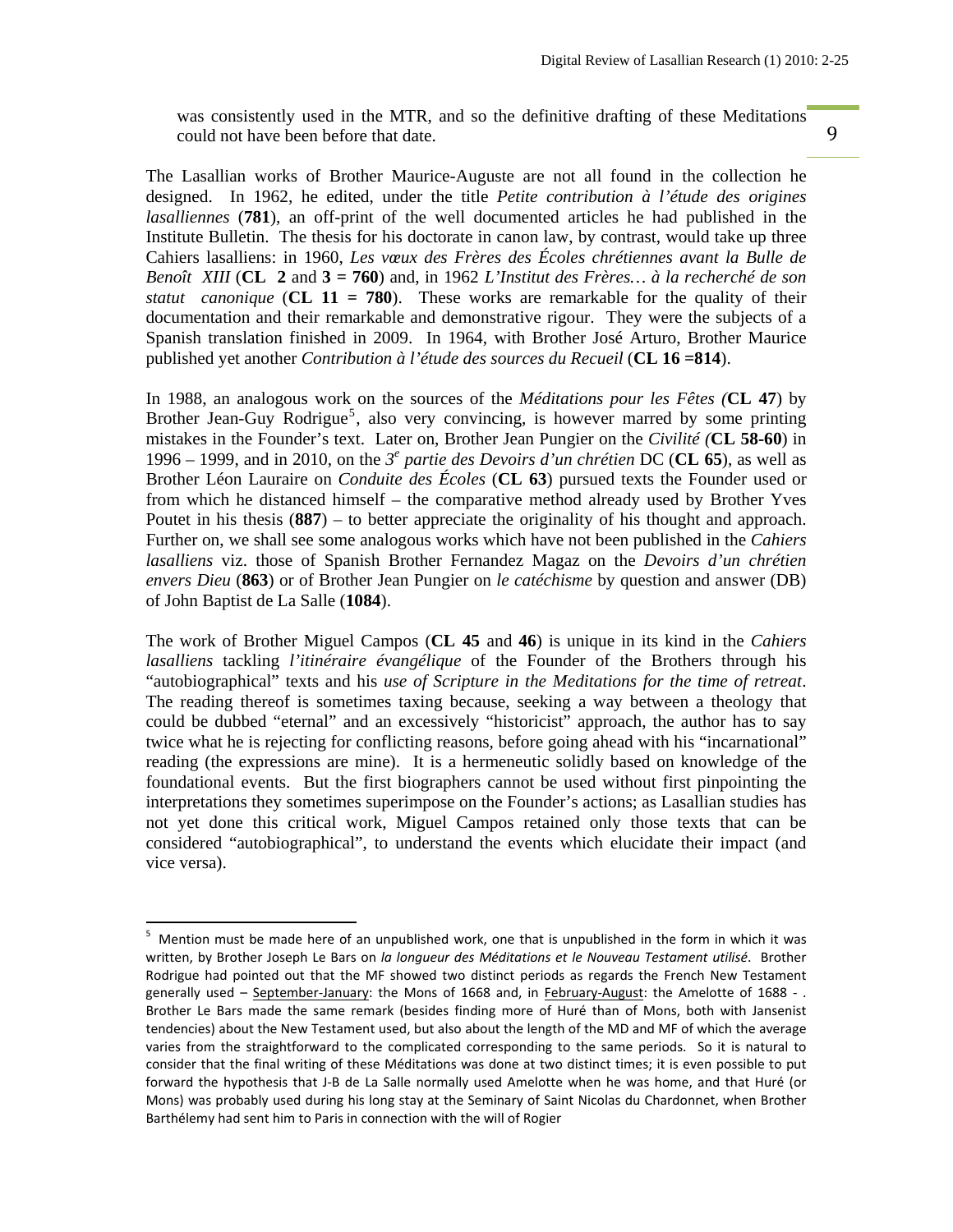was consistently used in the MTR, and so the definitive drafting of these Meditations could not have been before that date.

9

The Lasallian works of Brother Maurice-Auguste are not all found in the collection he designed. In 1962, he edited, under the title *Petite contribution à l'étude des origines lasalliennes* (**781**), an off-print of the well documented articles he had published in the Institute Bulletin. The thesis for his doctorate in canon law, by contrast, would take up three Cahiers lasalliens: in 1960, *Les vœux des Frères des Écoles chrétiennes avant la Bulle de Benoît XIII* (**CL 2** and **3 = 760**) and, in 1962 *L'Institut des Frères… à la recherché de son statut canonique* (CL  $11 = 780$ ). These works are remarkable for the quality of their documentation and their remarkable and demonstrative rigour. They were the subjects of a Spanish translation finished in 2009. In 1964, with Brother José Arturo, Brother Maurice published yet another *Contribution à l'étude des sources du Recueil* (**CL 16 =814**).

In 1988, an analogous work on the sources of the *Méditations pour les Fêtes (***CL 47**) by Brother Jean-Guy Rodrigue<sup>5</sup>, also very convincing, is however marred by some printing mistakes in the Founder's text. Later on, Brother Jean Pungier on the *Civilité (***CL 58-60**) in 1996 – 1999, and in 2010, on the  $3^e$  partie des Devoirs d'un chrétien DC (CL 65), as well as Brother Léon Lauraire on *Conduite des Écoles* (**CL 63**) pursued texts the Founder used or from which he distanced himself – the comparative method already used by Brother Yves Poutet in his thesis (**887**) – to better appreciate the originality of his thought and approach. Further on, we shall see some analogous works which have not been published in the *Cahiers lasalliens* viz. those of Spanish Brother Fernandez Magaz on the *Devoirs d'un chrétien envers Dieu* (**863**) or of Brother Jean Pungier on *le catéchisme* by question and answer (DB) of John Baptist de La Salle (**1084**).

The work of Brother Miguel Campos (**CL 45** and **46**) is unique in its kind in the *Cahiers lasalliens* tackling *l'itinéraire évangélique* of the Founder of the Brothers through his "autobiographical" texts and his *use of Scripture in the Meditations for the time of retreat*. The reading thereof is sometimes taxing because, seeking a way between a theology that could be dubbed "eternal" and an excessively "historicist" approach, the author has to say twice what he is rejecting for conflicting reasons, before going ahead with his "incarnational" reading (the expressions are mine). It is a hermeneutic solidly based on knowledge of the foundational events. But the first biographers cannot be used without first pinpointing the interpretations they sometimes superimpose on the Founder's actions; as Lasallian studies has not yet done this critical work, Miguel Campos retained only those texts that can be considered "autobiographical", to understand the events which elucidate their impact (and vice versa).

<sup>5</sup> Mention must be made here of an unpublished work, one that is unpublished in the form in which it was written, by Brother Joseph Le Bars on *la longueur des Méditations et le Nouveau Testament utilisé*. Brother Rodrigue had pointed out that the MF showed two distinct periods as regards the French New Testament generally used – September-January: the Mons of 1668 and, in February-August: the Amelotte of 1688 - . Brother Le Bars made the same remark (besides finding more of Huré than of Mons, both with Jansenist tendencies) about the New Testament used, but also about the length of the MD and MF of which the average varies from the straightforward to the complicated corresponding to the same periods. So it is natural to consider that the final writing of these Méditations was done at two distinct times; it is even possible to put forward the hypothesis that J‐B de La Salle normally used Amelotte when he was home, and that Huré (or Mons) was probably used during his long stay at the Seminary of Saint Nicolas du Chardonnet, when Brother Barthélemy had sent him to Paris in connection with the will of Rogier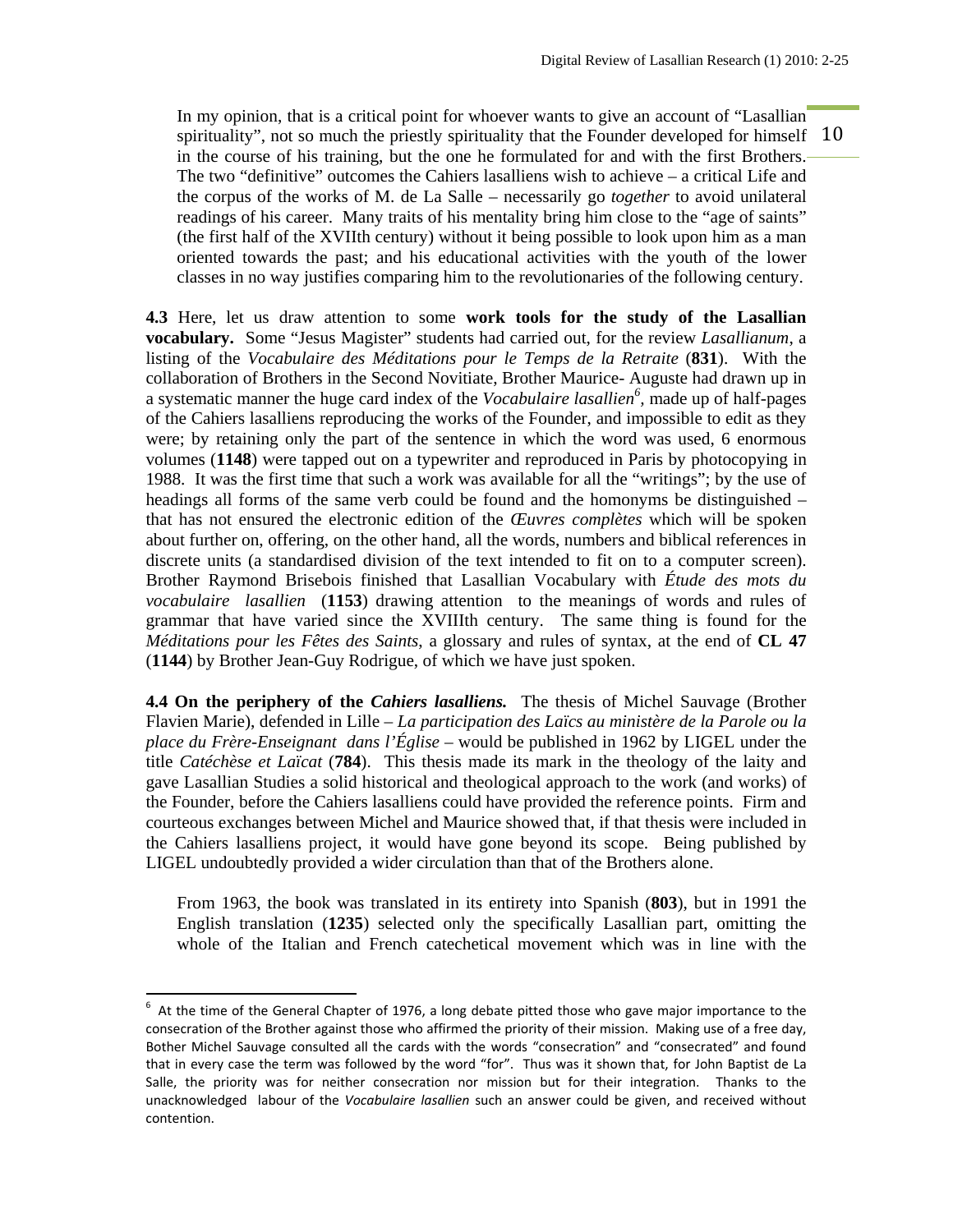spirituality", not so much the priestly spirituality that the Founder developed for himself  $10$ In my opinion, that is a critical point for whoever wants to give an account of "Lasallian" in the course of his training, but the one he formulated for and with the first Brothers. The two "definitive" outcomes the Cahiers lasalliens wish to achieve – a critical Life and the corpus of the works of M. de La Salle – necessarily go *together* to avoid unilateral readings of his career. Many traits of his mentality bring him close to the "age of saints" (the first half of the XVIIth century) without it being possible to look upon him as a man oriented towards the past; and his educational activities with the youth of the lower classes in no way justifies comparing him to the revolutionaries of the following century.

**4.3** Here, let us draw attention to some **work tools for the study of the Lasallian vocabulary.** Some "Jesus Magister" students had carried out, for the review *Lasallianum*, a listing of the *Vocabulaire des Méditations pour le Temps de la Retraite* (**831**). With the collaboration of Brothers in the Second Novitiate, Brother Maurice- Auguste had drawn up in a systematic manner the huge card index of the *Vocabulaire lasallien<sup>6</sup> ,* made up of half-pages of the Cahiers lasalliens reproducing the works of the Founder, and impossible to edit as they were; by retaining only the part of the sentence in which the word was used, 6 enormous volumes (**1148**) were tapped out on a typewriter and reproduced in Paris by photocopying in 1988. It was the first time that such a work was available for all the "writings"; by the use of headings all forms of the same verb could be found and the homonyms be distinguished – that has not ensured the electronic edition of the *Œuvres complètes* which will be spoken about further on, offering, on the other hand, all the words, numbers and biblical references in discrete units (a standardised division of the text intended to fit on to a computer screen). Brother Raymond Brisebois finished that Lasallian Vocabulary with *Étude des mots du vocabulaire lasallien* (**1153**) drawing attention to the meanings of words and rules of grammar that have varied since the XVIIIth century. The same thing is found for the *Méditations pour les Fêtes des Saints*, a glossary and rules of syntax, at the end of **CL 47**  (**1144**) by Brother Jean-Guy Rodrigue, of which we have just spoken.

**4.4 On the periphery of the** *Cahiers lasalliens.* The thesis of Michel Sauvage (Brother Flavien Marie), defended in Lille – *La participation des Laïcs au ministère de la Parole ou la place du Frère-Enseignant dans l'Église* – would be published in 1962 by LIGEL under the title *Catéchèse et Laïcat* (**784**). This thesis made its mark in the theology of the laity and gave Lasallian Studies a solid historical and theological approach to the work (and works) of the Founder, before the Cahiers lasalliens could have provided the reference points. Firm and courteous exchanges between Michel and Maurice showed that, if that thesis were included in the Cahiers lasalliens project, it would have gone beyond its scope. Being published by LIGEL undoubtedly provided a wider circulation than that of the Brothers alone.

From 1963, the book was translated in its entirety into Spanish (**803**), but in 1991 the English translation (**1235**) selected only the specifically Lasallian part, omitting the whole of the Italian and French catechetical movement which was in line with the

 6 At the time of the General Chapter of 1976, a long debate pitted those who gave major importance to the consecration of the Brother against those who affirmed the priority of their mission. Making use of a free day, Bother Michel Sauvage consulted all the cards with the words "consecration" and "consecrated" and found that in every case the term was followed by the word "for". Thus was it shown that, for John Baptist de La Salle, the priority was for neither consecration nor mission but for their integration. Thanks to the unacknowledged labour of the *Vocabulaire lasallien* such an answer could be given, and received without contention.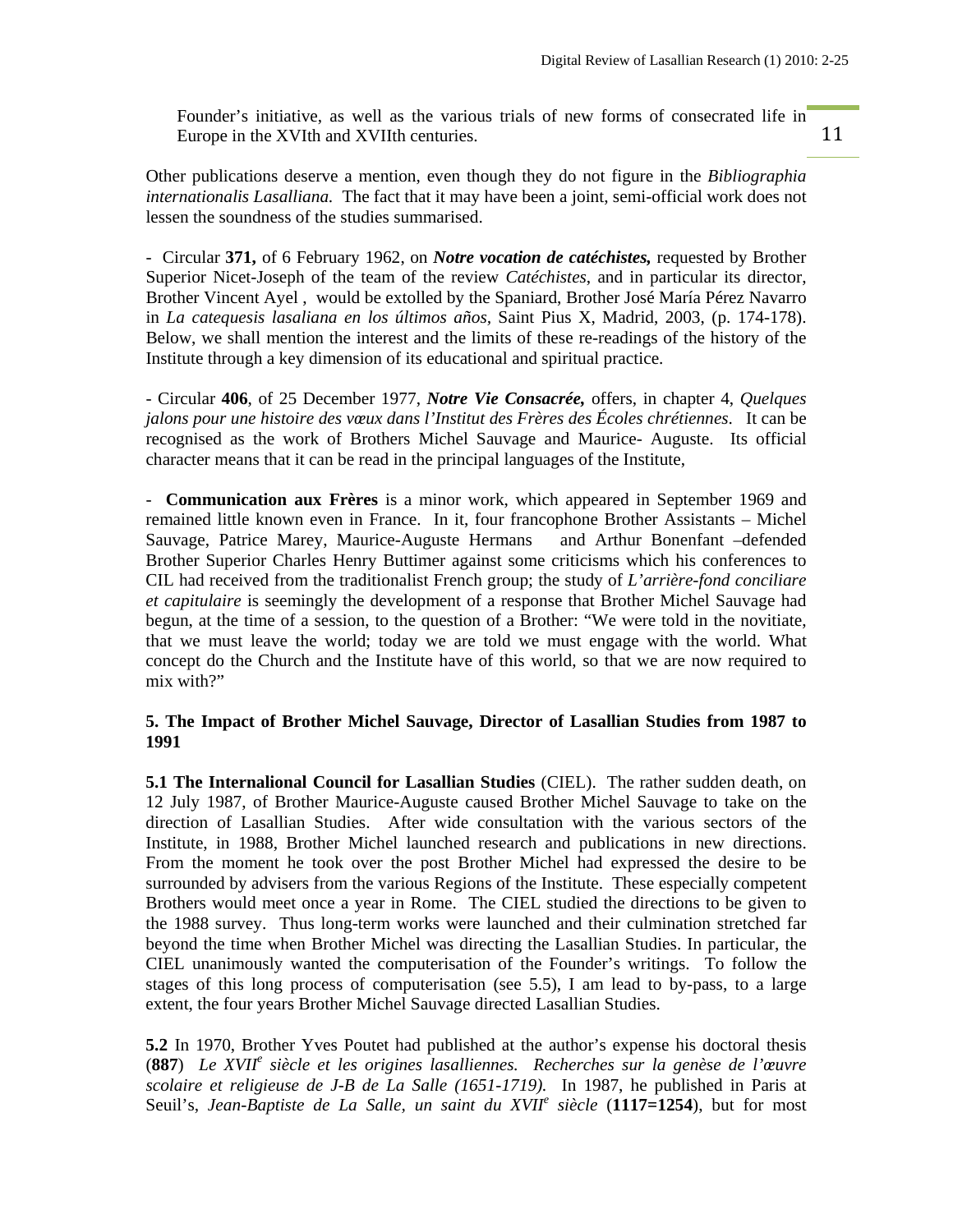11

Founder's initiative, as well as the various trials of new forms of consecrated life in Europe in the XVIth and XVIIth centuries.

Other publications deserve a mention, even though they do not figure in the *Bibliographia internationalis Lasalliana.* The fact that it may have been a joint, semi-official work does not lessen the soundness of the studies summarised.

- Circular **371,** of 6 February 1962, on *Notre vocation de catéchistes,* requested by Brother Superior Nicet-Joseph of the team of the review *Catéchistes*, and in particular its director, Brother Vincent Ayel , would be extolled by the Spaniard, Brother José María Pérez Navarro in *La catequesis lasaliana en los últimos años,* Saint Pius X, Madrid, 2003, (p. 174-178). Below, we shall mention the interest and the limits of these re-readings of the history of the Institute through a key dimension of its educational and spiritual practice.

- Circular **406**, of 25 December 1977, *Notre Vie Consacrée,* offers, in chapter 4, *Quelques jalons pour une histoire des vœux dans l'Institut des Frères des Écoles chrétiennes*. It can be recognised as the work of Brothers Michel Sauvage and Maurice- Auguste. Its official character means that it can be read in the principal languages of the Institute,

- **Communication aux Frères** is a minor work, which appeared in September 1969 and remained little known even in France. In it, four francophone Brother Assistants – Michel Sauvage, Patrice Marey, Maurice-Auguste Hermans and Arthur Bonenfant –defended Brother Superior Charles Henry Buttimer against some criticisms which his conferences to CIL had received from the traditionalist French group; the study of *L'arrière-fond conciliare et capitulaire* is seemingly the development of a response that Brother Michel Sauvage had begun, at the time of a session, to the question of a Brother: "We were told in the novitiate, that we must leave the world; today we are told we must engage with the world. What concept do the Church and the Institute have of this world, so that we are now required to mix with?"

### **5. The Impact of Brother Michel Sauvage, Director of Lasallian Studies from 1987 to 1991**

**5.1 The Internalional Council for Lasallian Studies** (CIEL). The rather sudden death, on 12 July 1987, of Brother Maurice-Auguste caused Brother Michel Sauvage to take on the direction of Lasallian Studies. After wide consultation with the various sectors of the Institute, in 1988, Brother Michel launched research and publications in new directions. From the moment he took over the post Brother Michel had expressed the desire to be surrounded by advisers from the various Regions of the Institute. These especially competent Brothers would meet once a year in Rome. The CIEL studied the directions to be given to the 1988 survey. Thus long-term works were launched and their culmination stretched far beyond the time when Brother Michel was directing the Lasallian Studies. In particular, the CIEL unanimously wanted the computerisation of the Founder's writings. To follow the stages of this long process of computerisation (see 5.5), I am lead to by-pass, to a large extent, the four years Brother Michel Sauvage directed Lasallian Studies.

**5.2** In 1970, Brother Yves Poutet had published at the author's expense his doctoral thesis (**887**) *Le XVII<sup>e</sup> siècle et les origines lasalliennes. Recherches sur la genèse de l'œuvre scolaire et religieuse de J-B de La Salle (1651-1719).* In 1987, he published in Paris at Seuil's, *Jean-Baptiste de La Salle, un saint du XVII<sup>e</sup> siècle* (1117=1254), but for most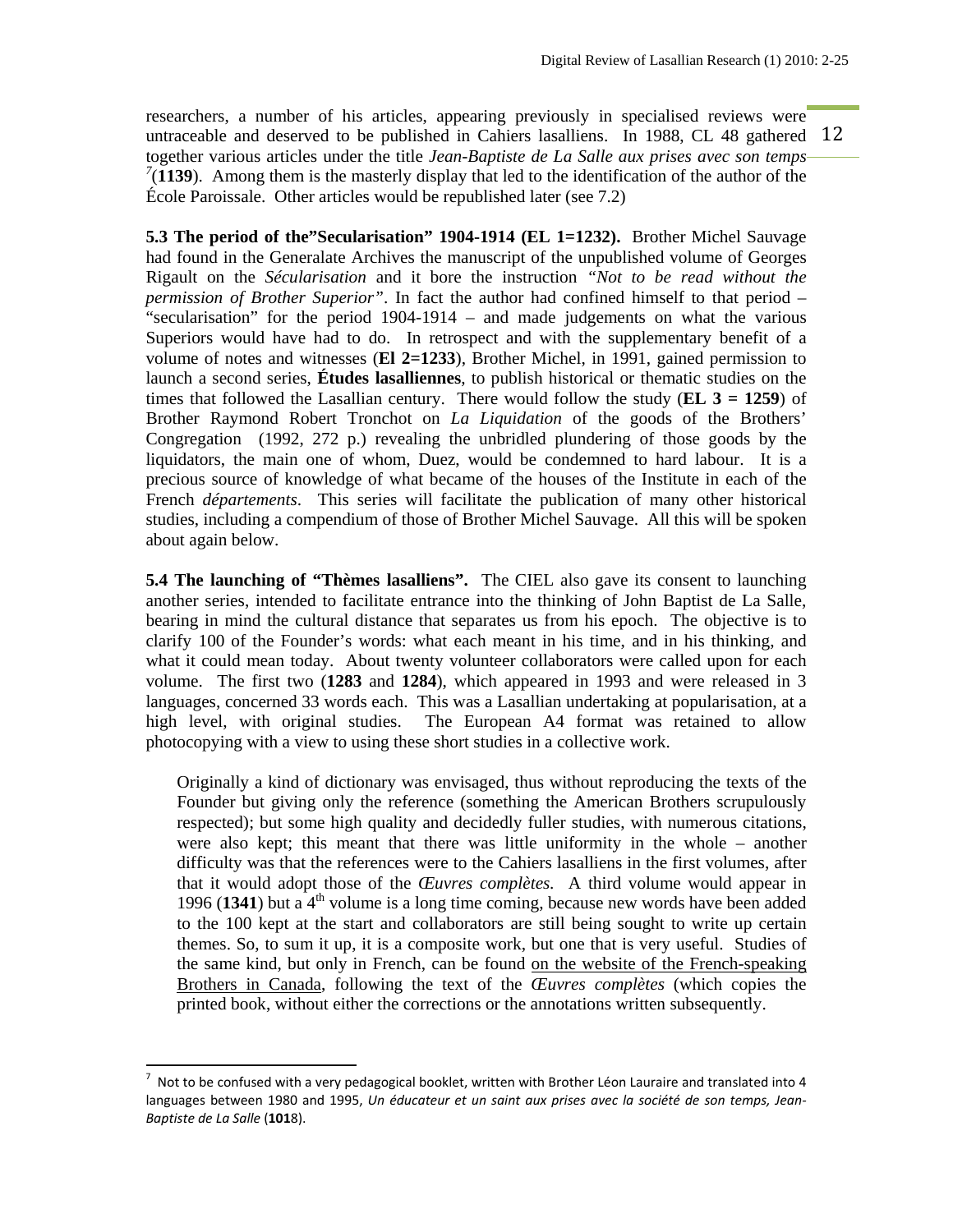untraceable and deserved to be published in Cahiers lasalliens. In 1988, CL 48 gathered 12 researchers, a number of his articles, appearing previously in specialised reviews were together various articles under the title *Jean-Baptiste de La Salle aux prises avec son temps*   $7(1139)$ . Among them is the masterly display that led to the identification of the author of the École Paroissale. Other articles would be republished later (see 7.2)

**5.3 The period of the"Secularisation" 1904-1914 (EL 1=1232).** Brother Michel Sauvage had found in the Generalate Archives the manuscript of the unpublished volume of Georges Rigault on the *Sécularisation* and it bore the instruction *"Not to be read without the permission of Brother Superior"*. In fact the author had confined himself to that period – "secularisation" for the period 1904-1914 – and made judgements on what the various Superiors would have had to do. In retrospect and with the supplementary benefit of a volume of notes and witnesses (**El 2=1233**), Brother Michel, in 1991, gained permission to launch a second series, **Études lasalliennes**, to publish historical or thematic studies on the times that followed the Lasallian century. There would follow the study (**EL 3 = 1259**) of Brother Raymond Robert Tronchot on *La Liquidation* of the goods of the Brothers' Congregation (1992, 272 p.) revealing the unbridled plundering of those goods by the liquidators, the main one of whom, Duez, would be condemned to hard labour. It is a precious source of knowledge of what became of the houses of the Institute in each of the French *départements*. This series will facilitate the publication of many other historical studies, including a compendium of those of Brother Michel Sauvage. All this will be spoken about again below.

**5.4 The launching of "Thèmes lasalliens".** The CIEL also gave its consent to launching another series, intended to facilitate entrance into the thinking of John Baptist de La Salle, bearing in mind the cultural distance that separates us from his epoch. The objective is to clarify 100 of the Founder's words: what each meant in his time, and in his thinking, and what it could mean today. About twenty volunteer collaborators were called upon for each volume. The first two (**1283** and **1284**), which appeared in 1993 and were released in 3 languages, concerned 33 words each. This was a Lasallian undertaking at popularisation, at a high level, with original studies. The European A4 format was retained to allow photocopying with a view to using these short studies in a collective work.

Originally a kind of dictionary was envisaged, thus without reproducing the texts of the Founder but giving only the reference (something the American Brothers scrupulously respected); but some high quality and decidedly fuller studies, with numerous citations, were also kept; this meant that there was little uniformity in the whole – another difficulty was that the references were to the Cahiers lasalliens in the first volumes, after that it would adopt those of the *Œuvres complètes.* A third volume would appear in 1996 (1341) but a  $4<sup>th</sup>$  volume is a long time coming, because new words have been added to the 100 kept at the start and collaborators are still being sought to write up certain themes. So, to sum it up, it is a composite work, but one that is very useful. Studies of the same kind, but only in French, can be found on the website of the French-speaking Brothers in Canada, following the text of the *Œuvres complètes* (which copies the printed book, without either the corrections or the annotations written subsequently.

<sup>7</sup> Not to be confused with a very pedagogical booklet, written with Brother Léon Lauraire and translated into 4 languages between 1980 and 1995, *Un éducateur et un saint aux prises avec la société de son temps, Jean‐ Baptiste de La Salle* (**101**8).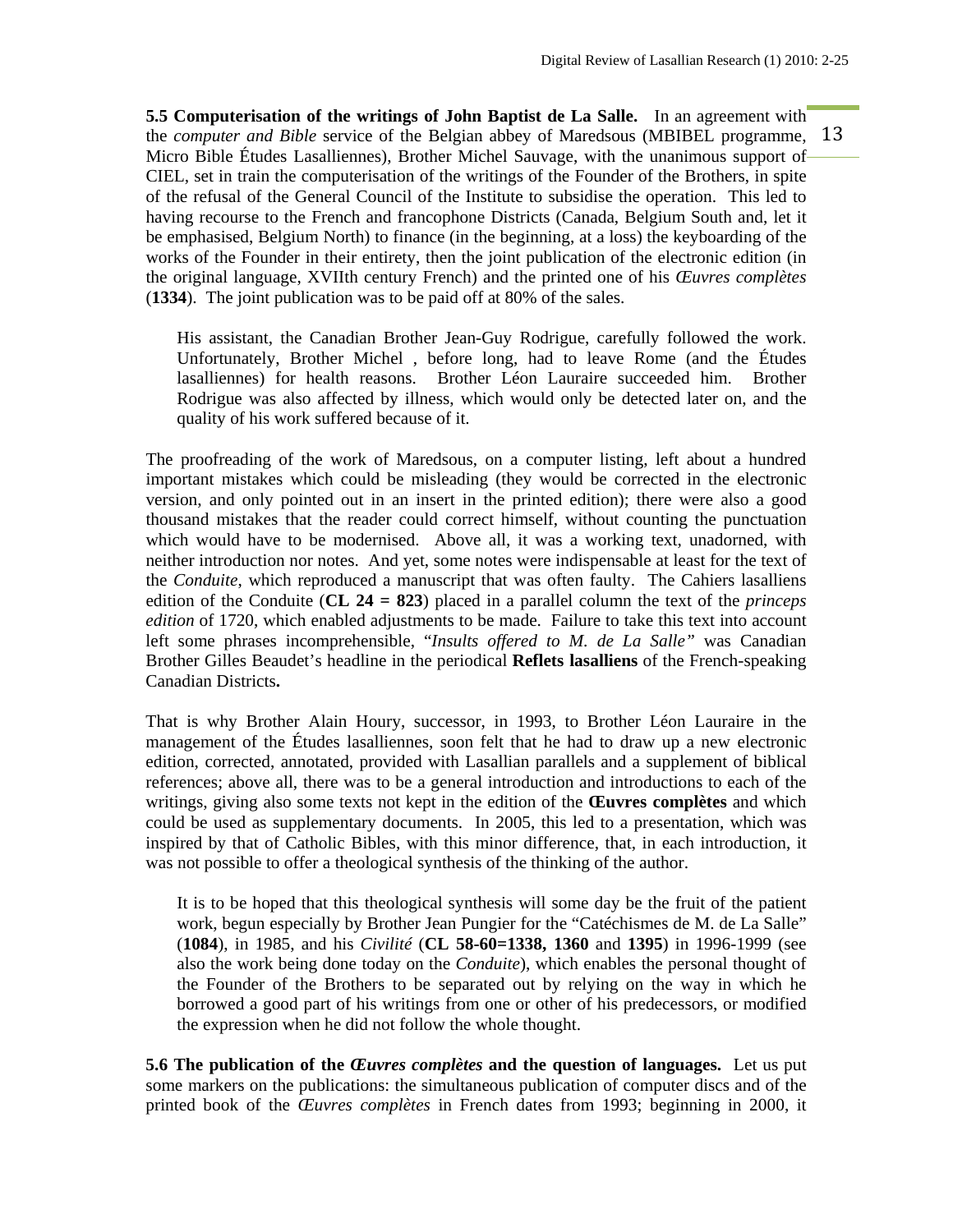the *computer and Bible* service of the Belgian abbey of Maredsous (MBIBEL programme, 13 **5.5 Computerisation of the writings of John Baptist de La Salle.** In an agreement with Micro Bible Études Lasalliennes), Brother Michel Sauvage, with the unanimous support of CIEL, set in train the computerisation of the writings of the Founder of the Brothers, in spite of the refusal of the General Council of the Institute to subsidise the operation. This led to having recourse to the French and francophone Districts (Canada, Belgium South and, let it be emphasised, Belgium North) to finance (in the beginning, at a loss) the keyboarding of the works of the Founder in their entirety, then the joint publication of the electronic edition (in the original language, XVIIth century French) and the printed one of his *Œuvres complètes*  (**1334**). The joint publication was to be paid off at 80% of the sales.

His assistant, the Canadian Brother Jean-Guy Rodrigue, carefully followed the work. Unfortunately, Brother Michel , before long, had to leave Rome (and the Études lasalliennes) for health reasons. Brother Léon Lauraire succeeded him. Brother Rodrigue was also affected by illness, which would only be detected later on, and the quality of his work suffered because of it.

The proofreading of the work of Maredsous, on a computer listing, left about a hundred important mistakes which could be misleading (they would be corrected in the electronic version, and only pointed out in an insert in the printed edition); there were also a good thousand mistakes that the reader could correct himself, without counting the punctuation which would have to be modernised. Above all, it was a working text, unadorned, with neither introduction nor notes. And yet, some notes were indispensable at least for the text of the *Conduite*, which reproduced a manuscript that was often faulty. The Cahiers lasalliens edition of the Conduite (**CL 24 = 823**) placed in a parallel column the text of the *princeps edition* of 1720, which enabled adjustments to be made. Failure to take this text into account left some phrases incomprehensible, "*Insults offered to M. de La Salle"* was Canadian Brother Gilles Beaudet's headline in the periodical **Reflets lasalliens** of the French-speaking Canadian Districts**.** 

That is why Brother Alain Houry, successor, in 1993, to Brother Léon Lauraire in the management of the Études lasalliennes, soon felt that he had to draw up a new electronic edition, corrected, annotated, provided with Lasallian parallels and a supplement of biblical references; above all, there was to be a general introduction and introductions to each of the writings, giving also some texts not kept in the edition of the **Œuvres complètes** and which could be used as supplementary documents. In 2005, this led to a presentation, which was inspired by that of Catholic Bibles, with this minor difference, that, in each introduction, it was not possible to offer a theological synthesis of the thinking of the author.

It is to be hoped that this theological synthesis will some day be the fruit of the patient work, begun especially by Brother Jean Pungier for the "Catéchismes de M. de La Salle" (**1084**), in 1985, and his *Civilité* (**CL 58-60=1338, 1360** and **1395**) in 1996-1999 (see also the work being done today on the *Conduite*), which enables the personal thought of the Founder of the Brothers to be separated out by relying on the way in which he borrowed a good part of his writings from one or other of his predecessors, or modified the expression when he did not follow the whole thought.

**5.6 The publication of the** *Œuvres complètes* **and the question of languages.** Let us put some markers on the publications: the simultaneous publication of computer discs and of the printed book of the *Œuvres complètes* in French dates from 1993; beginning in 2000, it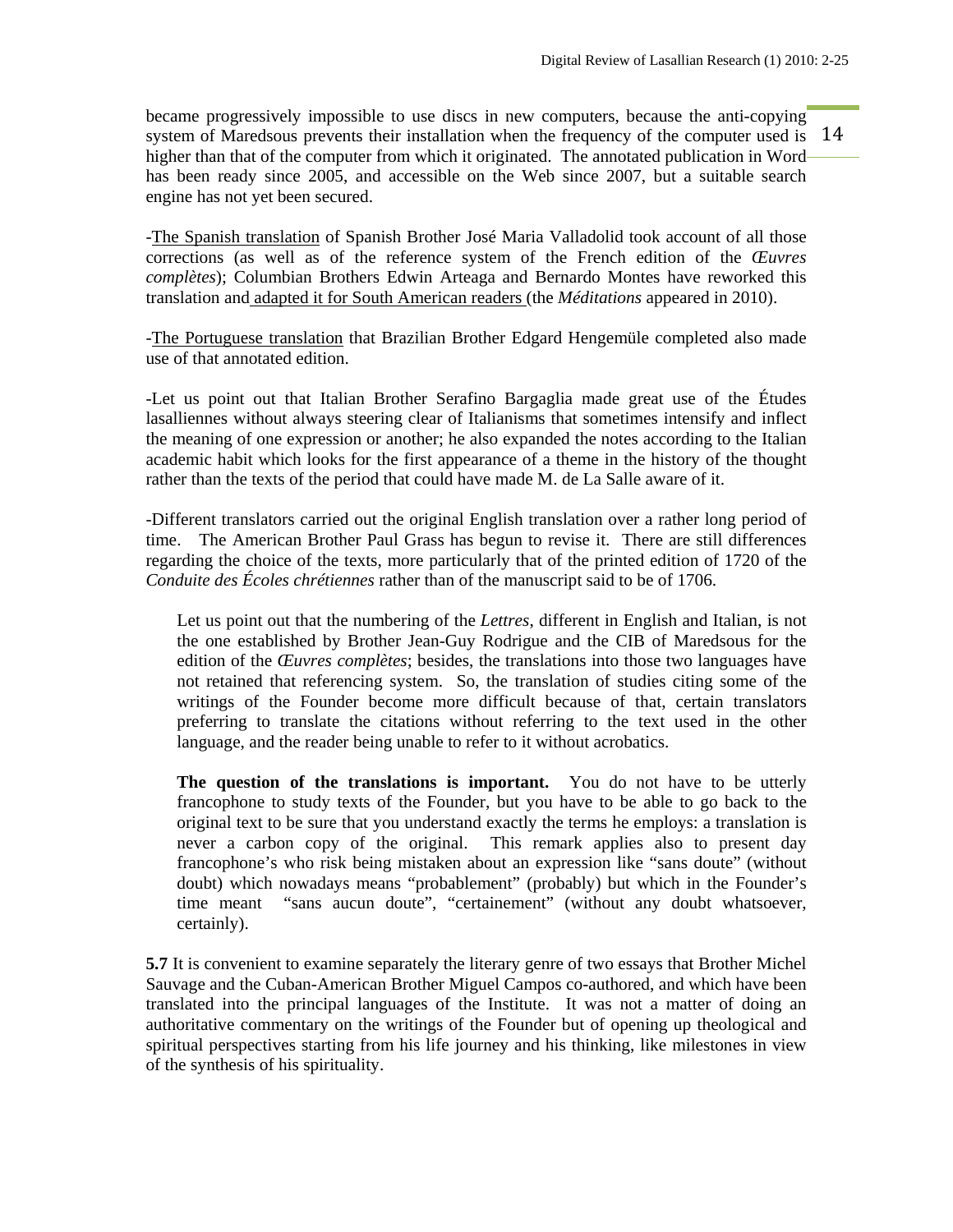system of Maredsous prevents their installation when the frequency of the computer used is 14 became progressively impossible to use discs in new computers, because the anti-copying higher than that of the computer from which it originated. The annotated publication in Word has been ready since 2005, and accessible on the Web since 2007, but a suitable search engine has not yet been secured.

-The Spanish translation of Spanish Brother José Maria Valladolid took account of all those corrections (as well as of the reference system of the French edition of the *Œuvres complètes*); Columbian Brothers Edwin Arteaga and Bernardo Montes have reworked this translation and adapted it for South American readers (the *Méditations* appeared in 2010).

-The Portuguese translation that Brazilian Brother Edgard Hengemüle completed also made use of that annotated edition.

-Let us point out that Italian Brother Serafino Bargaglia made great use of the Études lasalliennes without always steering clear of Italianisms that sometimes intensify and inflect the meaning of one expression or another; he also expanded the notes according to the Italian academic habit which looks for the first appearance of a theme in the history of the thought rather than the texts of the period that could have made M. de La Salle aware of it.

-Different translators carried out the original English translation over a rather long period of time. The American Brother Paul Grass has begun to revise it. There are still differences regarding the choice of the texts, more particularly that of the printed edition of 1720 of the *Conduite des Écoles chrétiennes* rather than of the manuscript said to be of 1706.

Let us point out that the numbering of the *Lettres*, different in English and Italian, is not the one established by Brother Jean-Guy Rodrigue and the CIB of Maredsous for the edition of the *Œuvres complètes*; besides, the translations into those two languages have not retained that referencing system. So, the translation of studies citing some of the writings of the Founder become more difficult because of that, certain translators preferring to translate the citations without referring to the text used in the other language, and the reader being unable to refer to it without acrobatics.

**The question of the translations is important.** You do not have to be utterly francophone to study texts of the Founder, but you have to be able to go back to the original text to be sure that you understand exactly the terms he employs: a translation is never a carbon copy of the original. This remark applies also to present day francophone's who risk being mistaken about an expression like "sans doute" (without doubt) which nowadays means "probablement" (probably) but which in the Founder's time meant "sans aucun doute", "certainement" (without any doubt whatsoever, certainly).

**5.7** It is convenient to examine separately the literary genre of two essays that Brother Michel Sauvage and the Cuban-American Brother Miguel Campos co-authored, and which have been translated into the principal languages of the Institute. It was not a matter of doing an authoritative commentary on the writings of the Founder but of opening up theological and spiritual perspectives starting from his life journey and his thinking, like milestones in view of the synthesis of his spirituality.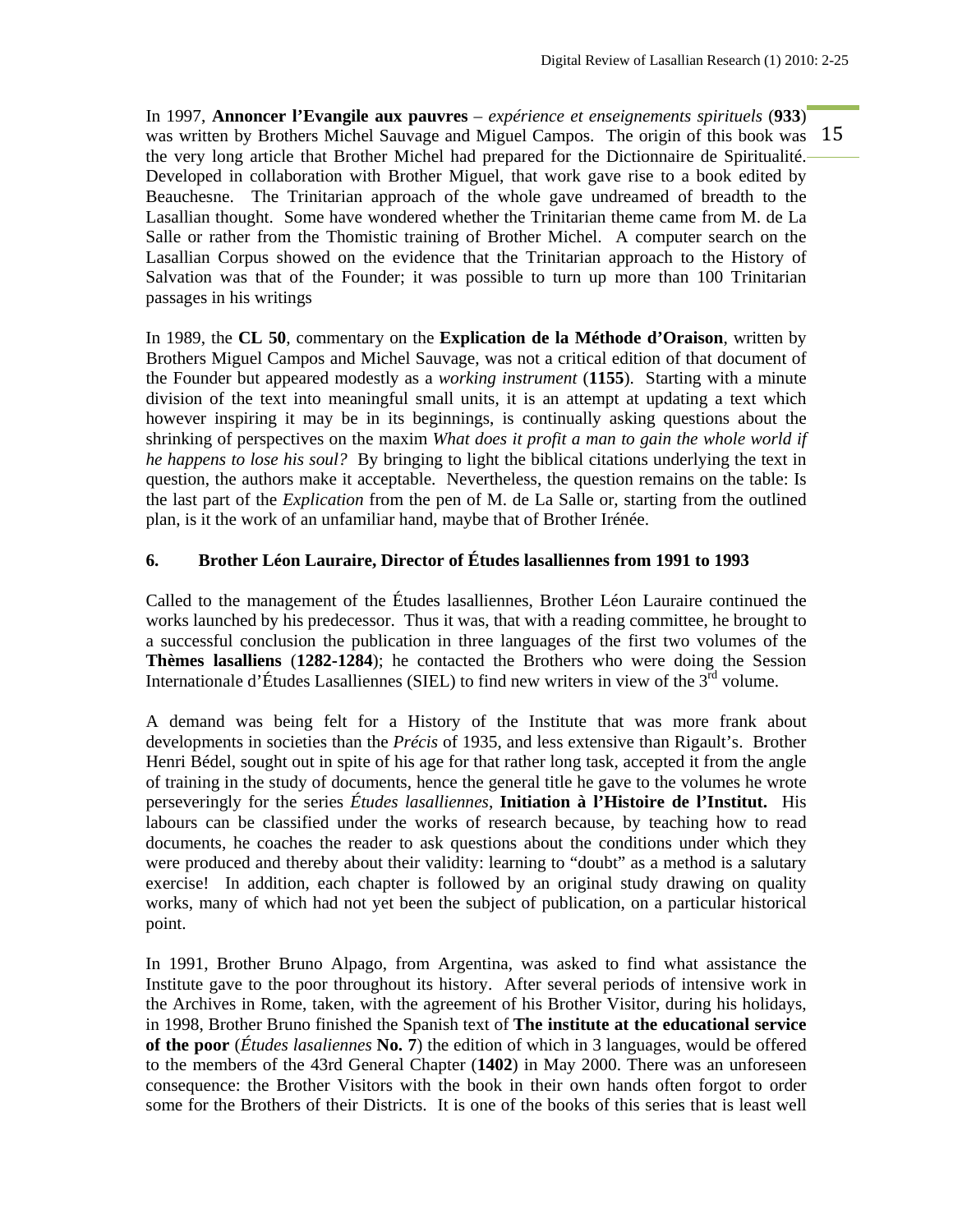was written by Brothers Michel Sauvage and Miguel Campos. The origin of this book was 15 In 1997, **Annoncer l'Evangile aux pauvres** *– expérience et enseignements spirituels* (**933**) the very long article that Brother Michel had prepared for the Dictionnaire de Spiritualité. Developed in collaboration with Brother Miguel, that work gave rise to a book edited by Beauchesne. The Trinitarian approach of the whole gave undreamed of breadth to the Lasallian thought. Some have wondered whether the Trinitarian theme came from M. de La Salle or rather from the Thomistic training of Brother Michel. A computer search on the Lasallian Corpus showed on the evidence that the Trinitarian approach to the History of Salvation was that of the Founder; it was possible to turn up more than 100 Trinitarian passages in his writings

In 1989, the **CL 50**, commentary on the **Explication de la Méthode d'Oraison**, written by Brothers Miguel Campos and Michel Sauvage, was not a critical edition of that document of the Founder but appeared modestly as a *working instrument* (**1155**). Starting with a minute division of the text into meaningful small units, it is an attempt at updating a text which however inspiring it may be in its beginnings, is continually asking questions about the shrinking of perspectives on the maxim *What does it profit a man to gain the whole world if he happens to lose his soul?* By bringing to light the biblical citations underlying the text in question, the authors make it acceptable. Nevertheless, the question remains on the table: Is the last part of the *Explication* from the pen of M. de La Salle or, starting from the outlined plan, is it the work of an unfamiliar hand, maybe that of Brother Irénée.

# **6. Brother Léon Lauraire, Director of Études lasalliennes from 1991 to 1993**

Called to the management of the Études lasalliennes, Brother Léon Lauraire continued the works launched by his predecessor. Thus it was, that with a reading committee, he brought to a successful conclusion the publication in three languages of the first two volumes of the **Thèmes lasalliens** (**1282-1284**); he contacted the Brothers who were doing the Session Internationale d'Études Lasalliennes (SIEL) to find new writers in view of the  $3<sup>rd</sup>$  volume.

A demand was being felt for a History of the Institute that was more frank about developments in societies than the *Précis* of 1935, and less extensive than Rigault's. Brother Henri Bédel, sought out in spite of his age for that rather long task, accepted it from the angle of training in the study of documents, hence the general title he gave to the volumes he wrote perseveringly for the series *Études lasalliennes*, **Initiation à l'Histoire de l'Institut.** His labours can be classified under the works of research because, by teaching how to read documents, he coaches the reader to ask questions about the conditions under which they were produced and thereby about their validity: learning to "doubt" as a method is a salutary exercise! In addition, each chapter is followed by an original study drawing on quality works, many of which had not yet been the subject of publication, on a particular historical point.

In 1991, Brother Bruno Alpago, from Argentina, was asked to find what assistance the Institute gave to the poor throughout its history. After several periods of intensive work in the Archives in Rome, taken, with the agreement of his Brother Visitor, during his holidays, in 1998, Brother Bruno finished the Spanish text of **The institute at the educational service of the poor** (*Études lasaliennes* **No. 7**) the edition of which in 3 languages, would be offered to the members of the 43rd General Chapter (**1402**) in May 2000. There was an unforeseen consequence: the Brother Visitors with the book in their own hands often forgot to order some for the Brothers of their Districts. It is one of the books of this series that is least well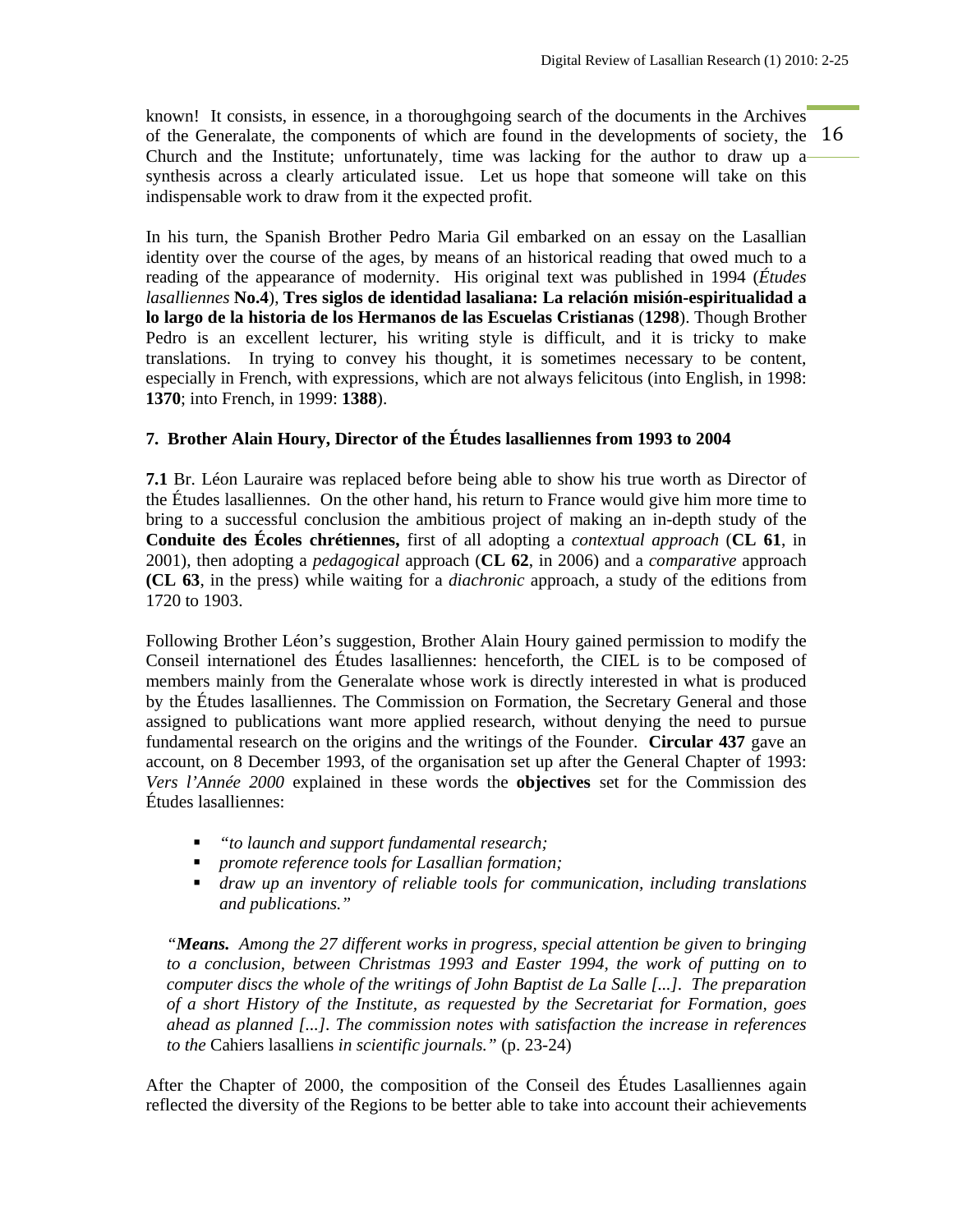of the Generalate, the components of which are found in the developments of society, the  $16$ known! It consists, in essence, in a thoroughgoing search of the documents in the Archives Church and the Institute; unfortunately, time was lacking for the author to draw up a synthesis across a clearly articulated issue. Let us hope that someone will take on this indispensable work to draw from it the expected profit.

In his turn, the Spanish Brother Pedro Maria Gil embarked on an essay on the Lasallian identity over the course of the ages, by means of an historical reading that owed much to a reading of the appearance of modernity. His original text was published in 1994 (*Études lasalliennes* **No.4**), **Tres siglos de identidad lasaliana: La relación misión-espiritualidad a lo largo de la historia de los Hermanos de las Escuelas Cristianas** (**1298**). Though Brother Pedro is an excellent lecturer, his writing style is difficult, and it is tricky to make translations. In trying to convey his thought, it is sometimes necessary to be content, especially in French, with expressions, which are not always felicitous (into English, in 1998: **1370**; into French, in 1999: **1388**).

# **7. Brother Alain Houry, Director of the Études lasalliennes from 1993 to 2004**

**7.1** Br. Léon Lauraire was replaced before being able to show his true worth as Director of the Études lasalliennes. On the other hand, his return to France would give him more time to bring to a successful conclusion the ambitious project of making an in-depth study of the **Conduite des Écoles chrétiennes,** first of all adopting a *contextual approach* (**CL 61**, in 2001), then adopting a *pedagogical* approach (**CL 62**, in 2006) and a *comparative* approach **(CL 63**, in the press) while waiting for a *diachronic* approach, a study of the editions from 1720 to 1903.

Following Brother Léon's suggestion, Brother Alain Houry gained permission to modify the Conseil internationel des Études lasalliennes: henceforth, the CIEL is to be composed of members mainly from the Generalate whose work is directly interested in what is produced by the Études lasalliennes. The Commission on Formation, the Secretary General and those assigned to publications want more applied research, without denying the need to pursue fundamental research on the origins and the writings of the Founder. **Circular 437** gave an account, on 8 December 1993, of the organisation set up after the General Chapter of 1993: *Vers l'Année 2000* explained in these words the **objectives** set for the Commission des Études lasalliennes:

- *"to launch and support fundamental research;*
- *promote reference tools for Lasallian formation;*
- *draw up an inventory of reliable tools for communication, including translations and publications."*

*"Means. Among the 27 different works in progress, special attention be given to bringing to a conclusion, between Christmas 1993 and Easter 1994, the work of putting on to computer discs the whole of the writings of John Baptist de La Salle [...]. The preparation of a short History of the Institute, as requested by the Secretariat for Formation, goes ahead as planned [...]. The commission notes with satisfaction the increase in references to the* Cahiers lasalliens *in scientific journals."* (p. 23-24)

After the Chapter of 2000, the composition of the Conseil des Études Lasalliennes again reflected the diversity of the Regions to be better able to take into account their achievements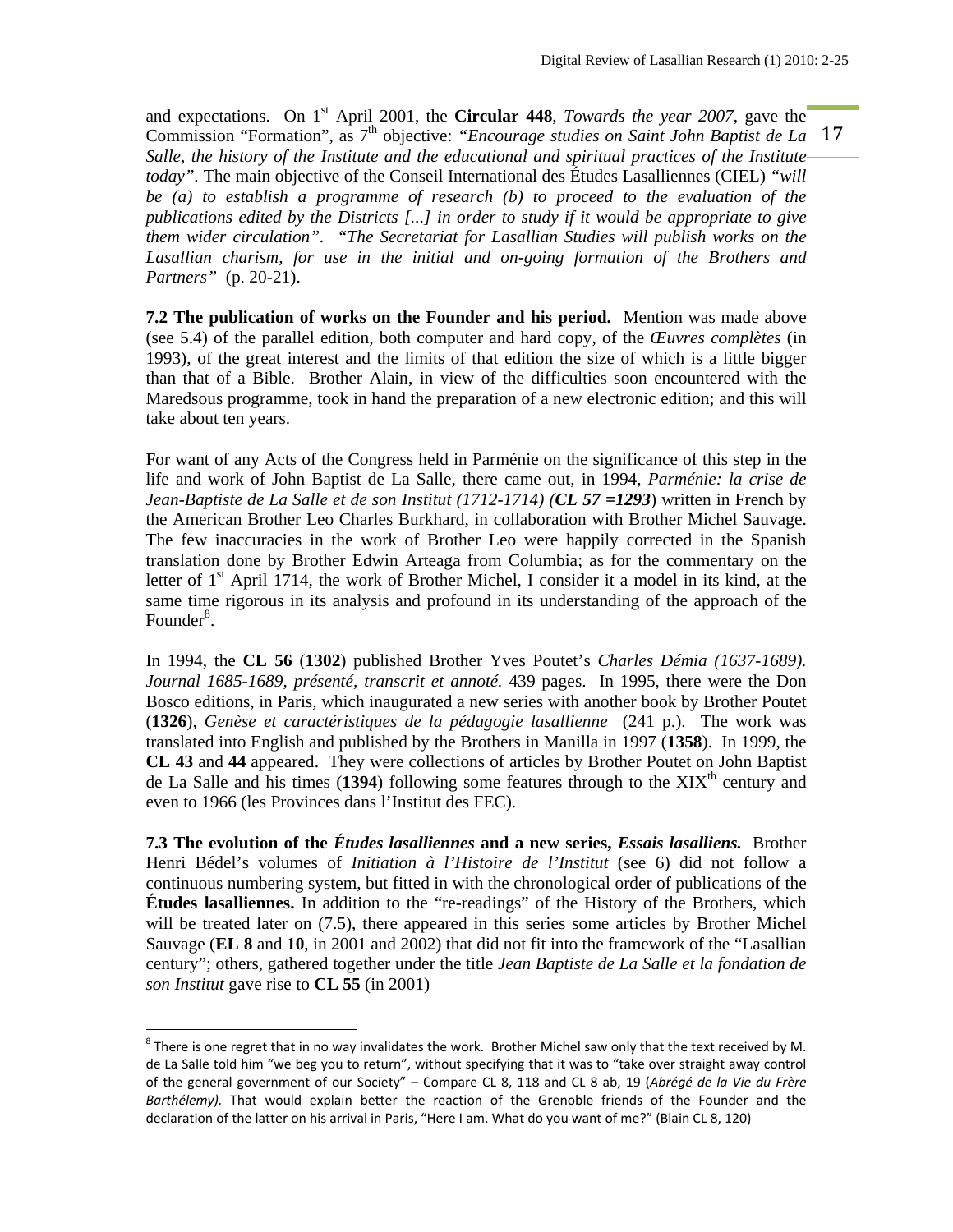Commission "Formation", as 7<sup>th</sup> objective: "*Encourage studies on Saint John Baptist de La* 17 and expectations. On 1st April 2001, the **Circular 448**, *Towards the year 2007*, gave the *Salle, the history of the Institute and the educational and spiritual practices of the Institute today".* The main objective of the Conseil International des Études Lasalliennes (CIEL) *"will be (a) to establish a programme of research (b) to proceed to the evaluation of the publications edited by the Districts [...] in order to study if it would be appropriate to give them wider circulation". "The Secretariat for Lasallian Studies will publish works on the Lasallian charism, for use in the initial and on-going formation of the Brothers and Partners"* (p. 20-21).

**7.2 The publication of works on the Founder and his period.** Mention was made above (see 5.4) of the parallel edition, both computer and hard copy, of the *Œuvres complètes* (in 1993), of the great interest and the limits of that edition the size of which is a little bigger than that of a Bible. Brother Alain, in view of the difficulties soon encountered with the Maredsous programme, took in hand the preparation of a new electronic edition; and this will take about ten years.

For want of any Acts of the Congress held in Parménie on the significance of this step in the life and work of John Baptist de La Salle, there came out, in 1994, *Parménie: la crise de Jean-Baptiste de La Salle et de son Institut (1712-1714) (CL 57 =1293*) written in French by the American Brother Leo Charles Burkhard, in collaboration with Brother Michel Sauvage. The few inaccuracies in the work of Brother Leo were happily corrected in the Spanish translation done by Brother Edwin Arteaga from Columbia; as for the commentary on the letter of  $1<sup>st</sup>$  April 1714, the work of Brother Michel, I consider it a model in its kind, at the same time rigorous in its analysis and profound in its understanding of the approach of the Founder<sup>8</sup>.

In 1994, the **CL 56** (**1302**) published Brother Yves Poutet's *Charles Démia (1637-1689). Journal 1685-1689, présenté, transcrit et annoté.* 439 pages. In 1995, there were the Don Bosco editions, in Paris, which inaugurated a new series with another book by Brother Poutet (**1326**), *Genèse et caractéristiques de la pédagogie lasallienne* (241 p.). The work was translated into English and published by the Brothers in Manilla in 1997 (**1358**). In 1999, the **CL 43** and **44** appeared. They were collections of articles by Brother Poutet on John Baptist de La Salle and his times (1394) following some features through to the  $XIX<sup>th</sup>$  century and even to 1966 (les Provinces dans l'Institut des FEC).

**7.3 The evolution of the** *Études lasalliennes* **and a new series,** *Essais lasalliens.* Brother Henri Bédel's volumes of *Initiation à l'Histoire de l'Institut* (see 6) did not follow a continuous numbering system, but fitted in with the chronological order of publications of the **Études lasalliennes.** In addition to the "re-readings" of the History of the Brothers, which will be treated later on  $(7.5)$ , there appeared in this series some articles by Brother Michel Sauvage (**EL 8** and **10**, in 2001 and 2002) that did not fit into the framework of the "Lasallian century"; others, gathered together under the title *Jean Baptiste de La Salle et la fondation de son Institut* gave rise to **CL 55** (in 2001)

 $8$  There is one regret that in no way invalidates the work. Brother Michel saw only that the text received by M. de La Salle told him "we beg you to return", without specifying that it was to "take over straight away control of the general government of our Society" – Compare CL 8, 118 and CL 8 ab, 19 (*Abrégé de la Vie du Frère Barthélemy).* That would explain better the reaction of the Grenoble friends of the Founder and the declaration of the latter on his arrival in Paris, "Here I am. What do you want of me?" (Blain CL 8, 120)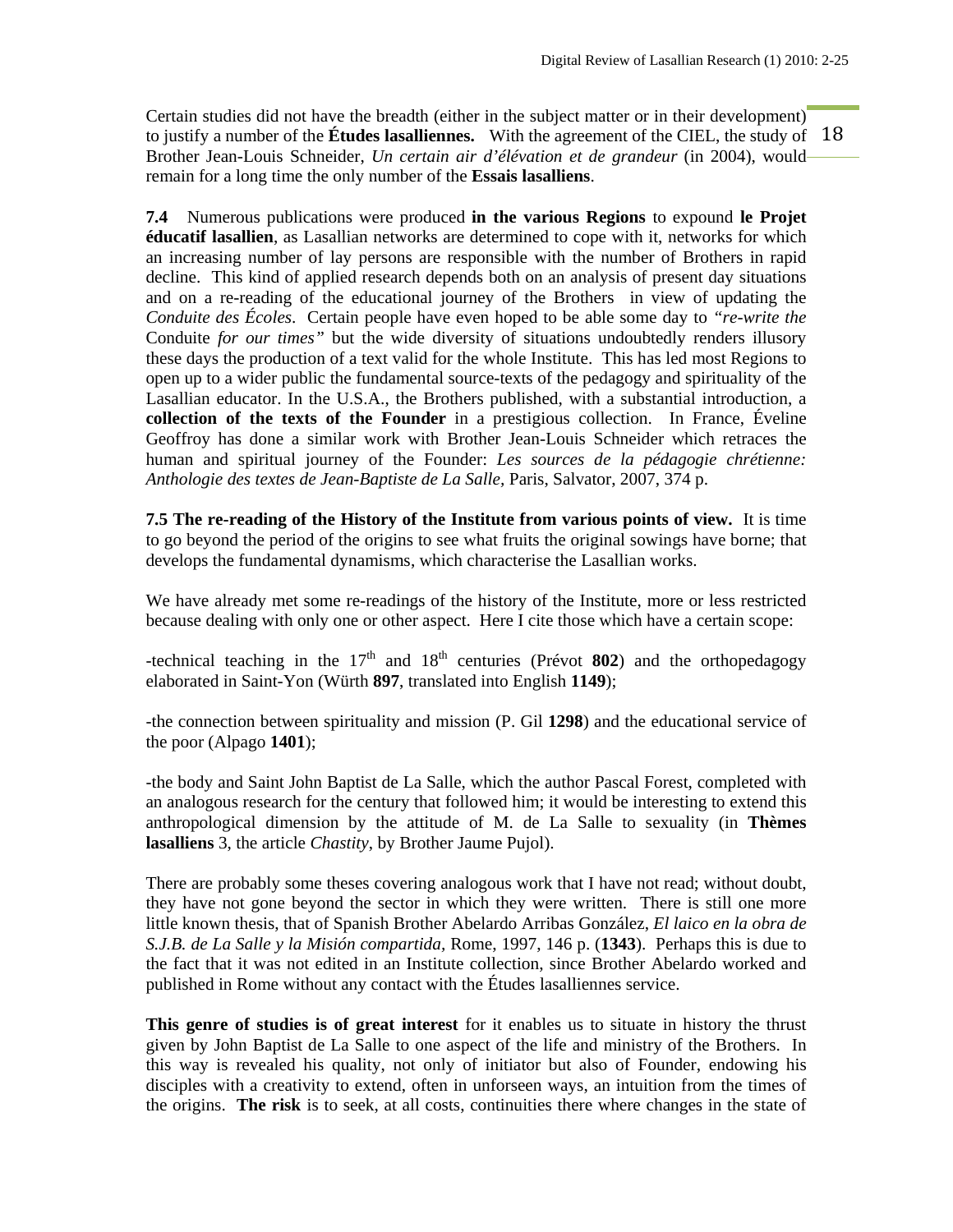to justify a number of the **Études lasalliennes.** With the agreement of the CIEL, the study of 18 Certain studies did not have the breadth (either in the subject matter or in their development) Brother Jean-Louis Schneider, *Un certain air d'élévation et de grandeur* (in 2004), would remain for a long time the only number of the **Essais lasalliens**.

**7.4** Numerous publications were produced **in the various Regions** to expound **le Projet éducatif lasallien**, as Lasallian networks are determined to cope with it, networks for which an increasing number of lay persons are responsible with the number of Brothers in rapid decline. This kind of applied research depends both on an analysis of present day situations and on a re-reading of the educational journey of the Brothers in view of updating the *Conduite des Écoles*. Certain people have even hoped to be able some day to *"re-write the*  Conduite *for our times"* but the wide diversity of situations undoubtedly renders illusory these days the production of a text valid for the whole Institute. This has led most Regions to open up to a wider public the fundamental source-texts of the pedagogy and spirituality of the Lasallian educator. In the U.S.A., the Brothers published, with a substantial introduction, a **collection of the texts of the Founder** in a prestigious collection. In France, Éveline Geoffroy has done a similar work with Brother Jean-Louis Schneider which retraces the human and spiritual journey of the Founder: *Les sources de la pédagogie chrétienne: Anthologie des textes de Jean-Baptiste de La Salle,* Paris, Salvator, 2007, 374 p.

**7.5 The re-reading of the History of the Institute from various points of view.** It is time to go beyond the period of the origins to see what fruits the original sowings have borne; that develops the fundamental dynamisms, which characterise the Lasallian works.

We have already met some re-readings of the history of the Institute, more or less restricted because dealing with only one or other aspect. Here I cite those which have a certain scope:

-technical teaching in the  $17<sup>th</sup>$  and  $18<sup>th</sup>$  centuries (Prévot 802) and the orthopedagogy elaborated in Saint-Yon (Würth **897**, translated into English **1149**);

-the connection between spirituality and mission (P. Gil **1298**) and the educational service of the poor (Alpago **1401**);

-the body and Saint John Baptist de La Salle, which the author Pascal Forest, completed with an analogous research for the century that followed him; it would be interesting to extend this anthropological dimension by the attitude of M. de La Salle to sexuality (in **Thèmes lasalliens** 3, the article *Chastity*, by Brother Jaume Pujol).

There are probably some theses covering analogous work that I have not read; without doubt, they have not gone beyond the sector in which they were written. There is still one more little known thesis, that of Spanish Brother Abelardo Arribas González, *El laico en la obra de S.J.B. de La Salle y la Misión compartida,* Rome, 1997, 146 p. (**1343**). Perhaps this is due to the fact that it was not edited in an Institute collection, since Brother Abelardo worked and published in Rome without any contact with the Études lasalliennes service.

**This genre of studies is of great interest** for it enables us to situate in history the thrust given by John Baptist de La Salle to one aspect of the life and ministry of the Brothers. In this way is revealed his quality, not only of initiator but also of Founder, endowing his disciples with a creativity to extend, often in unforseen ways, an intuition from the times of the origins. **The risk** is to seek, at all costs, continuities there where changes in the state of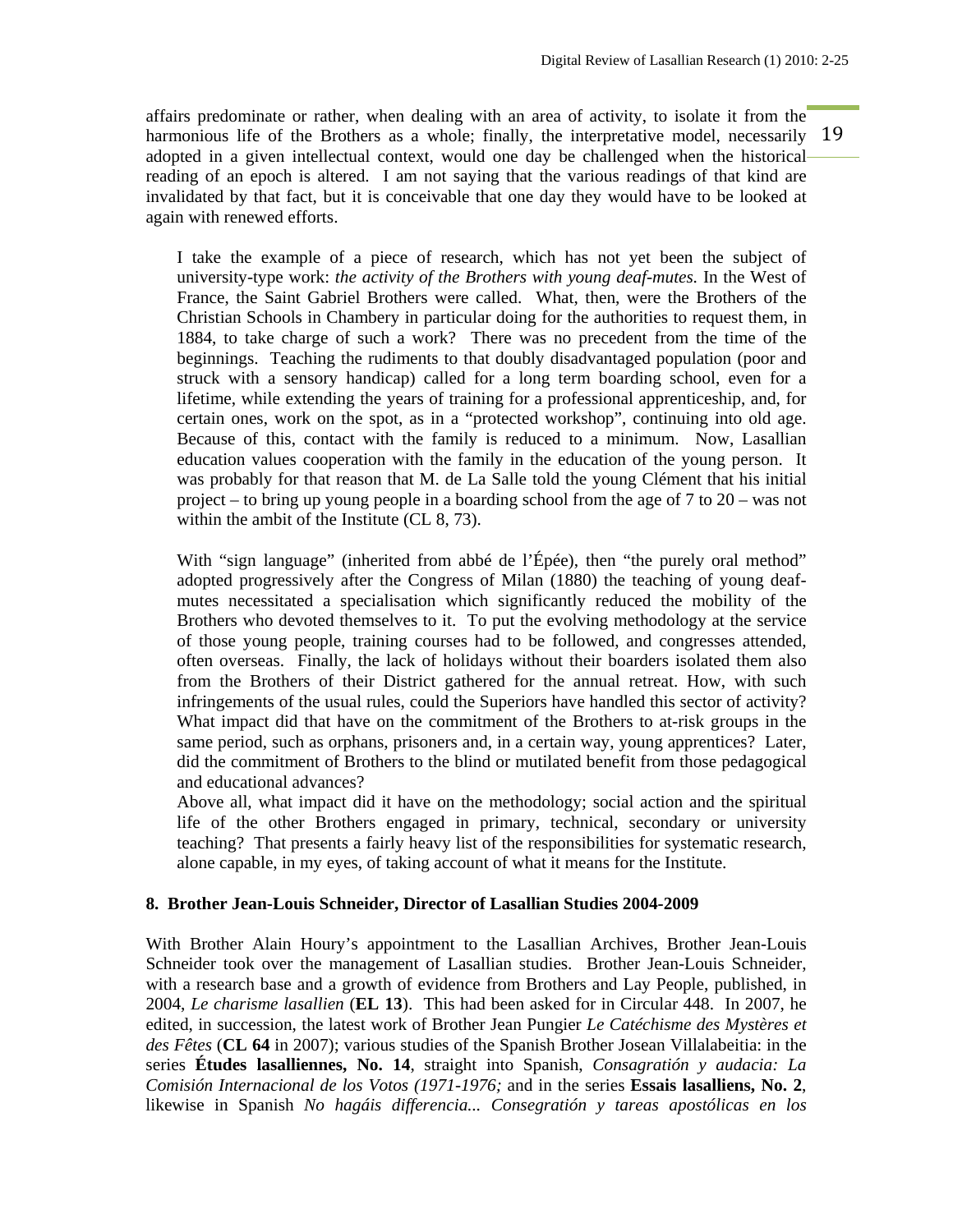harmonious life of the Brothers as a whole; finally, the interpretative model, necessarily 19 affairs predominate or rather, when dealing with an area of activity, to isolate it from the adopted in a given intellectual context, would one day be challenged when the historical reading of an epoch is altered. I am not saying that the various readings of that kind are invalidated by that fact, but it is conceivable that one day they would have to be looked at again with renewed efforts.

I take the example of a piece of research, which has not yet been the subject of university-type work: *the activity of the Brothers with young deaf-mutes.* In the West of France, the Saint Gabriel Brothers were called. What, then, were the Brothers of the Christian Schools in Chambery in particular doing for the authorities to request them, in 1884, to take charge of such a work? There was no precedent from the time of the beginnings. Teaching the rudiments to that doubly disadvantaged population (poor and struck with a sensory handicap) called for a long term boarding school, even for a lifetime, while extending the years of training for a professional apprenticeship, and, for certain ones, work on the spot, as in a "protected workshop", continuing into old age. Because of this, contact with the family is reduced to a minimum. Now, Lasallian education values cooperation with the family in the education of the young person. It was probably for that reason that M. de La Salle told the young Clément that his initial project – to bring up young people in a boarding school from the age of 7 to 20 – was not within the ambit of the Institute (CL 8, 73).

With "sign language" (inherited from abbé de l'Épée), then "the purely oral method" adopted progressively after the Congress of Milan (1880) the teaching of young deafmutes necessitated a specialisation which significantly reduced the mobility of the Brothers who devoted themselves to it. To put the evolving methodology at the service of those young people, training courses had to be followed, and congresses attended, often overseas. Finally, the lack of holidays without their boarders isolated them also from the Brothers of their District gathered for the annual retreat. How, with such infringements of the usual rules, could the Superiors have handled this sector of activity? What impact did that have on the commitment of the Brothers to at-risk groups in the same period, such as orphans, prisoners and, in a certain way, young apprentices? Later, did the commitment of Brothers to the blind or mutilated benefit from those pedagogical and educational advances?

Above all, what impact did it have on the methodology; social action and the spiritual life of the other Brothers engaged in primary, technical, secondary or university teaching? That presents a fairly heavy list of the responsibilities for systematic research, alone capable, in my eyes, of taking account of what it means for the Institute.

#### **8. Brother Jean-Louis Schneider, Director of Lasallian Studies 2004-2009**

With Brother Alain Houry's appointment to the Lasallian Archives, Brother Jean-Louis Schneider took over the management of Lasallian studies. Brother Jean-Louis Schneider, with a research base and a growth of evidence from Brothers and Lay People, published, in 2004, *Le charisme lasallien* (**EL 13**). This had been asked for in Circular 448. In 2007, he edited, in succession, the latest work of Brother Jean Pungier *Le Catéchisme des Mystères et des Fêtes* (**CL 64** in 2007); various studies of the Spanish Brother Josean Villalabeitia: in the series **Études lasalliennes, No. 14**, straight into Spanish, *Consagratión y audacia: La Comisión Internacional de los Votos (1971-1976;* and in the series **Essais lasalliens, No. 2**, likewise in Spanish *No hagáis differencia... Consegratión y tareas apostólicas en los*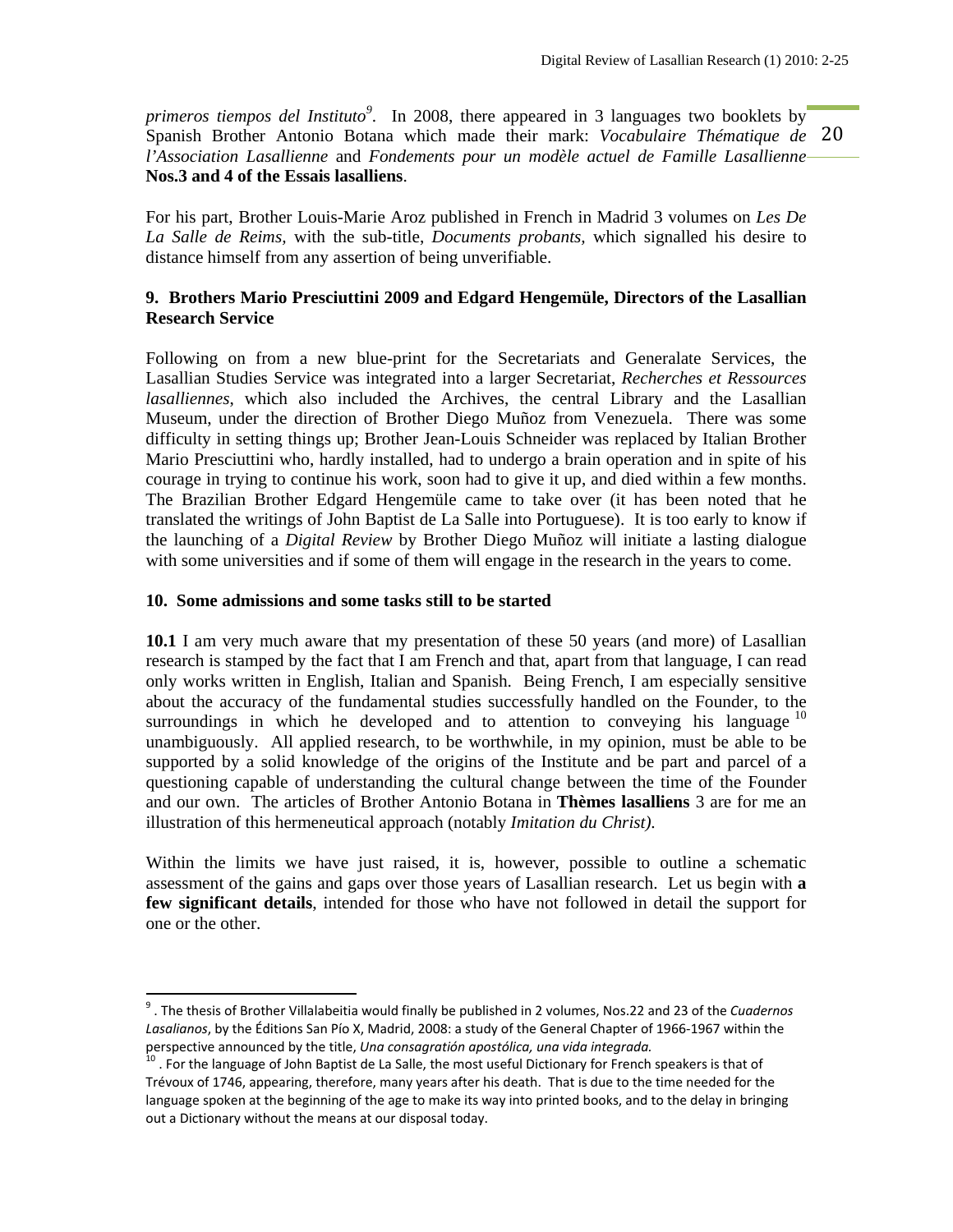20 Spanish Brother Antonio Botana which made their mark: *Vocabulaire Thématique de primeros tiempos del Instituto<sup>9</sup> .* In 2008, there appeared in 3 languages two booklets by *l'Association Lasallienne* and *Fondements pour un modèle actuel de Famille Lasallienne* **Nos.3 and 4 of the Essais lasalliens**.

For his part, Brother Louis-Marie Aroz published in French in Madrid 3 volumes on *Les De La Salle de Reims,* with the sub-title, *Documents probants,* which signalled his desire to distance himself from any assertion of being unverifiable.

## **9. Brothers Mario Presciuttini 2009 and Edgard Hengemüle, Directors of the Lasallian Research Service**

Following on from a new blue-print for the Secretariats and Generalate Services, the Lasallian Studies Service was integrated into a larger Secretariat, *Recherches et Ressources lasalliennes*, which also included the Archives, the central Library and the Lasallian Museum, under the direction of Brother Diego Muñoz from Venezuela. There was some difficulty in setting things up; Brother Jean-Louis Schneider was replaced by Italian Brother Mario Presciuttini who, hardly installed, had to undergo a brain operation and in spite of his courage in trying to continue his work, soon had to give it up, and died within a few months. The Brazilian Brother Edgard Hengemüle came to take over (it has been noted that he translated the writings of John Baptist de La Salle into Portuguese). It is too early to know if the launching of a *Digital Review* by Brother Diego Muñoz will initiate a lasting dialogue with some universities and if some of them will engage in the research in the years to come.

#### **10. Some admissions and some tasks still to be started**

**10.1** I am very much aware that my presentation of these 50 years (and more) of Lasallian research is stamped by the fact that I am French and that, apart from that language, I can read only works written in English, Italian and Spanish. Being French, I am especially sensitive about the accuracy of the fundamental studies successfully handled on the Founder, to the surroundings in which he developed and to attention to conveying his language  $10$ unambiguously. All applied research, to be worthwhile, in my opinion, must be able to be supported by a solid knowledge of the origins of the Institute and be part and parcel of a questioning capable of understanding the cultural change between the time of the Founder and our own. The articles of Brother Antonio Botana in **Thèmes lasalliens** 3 are for me an illustration of this hermeneutical approach (notably *Imitation du Christ).* 

Within the limits we have just raised, it is, however, possible to outline a schematic assessment of the gains and gaps over those years of Lasallian research. Let us begin with **a few significant details**, intended for those who have not followed in detail the support for one or the other.

<sup>9</sup> . The thesis of Brother Villalabeitia would finally be published in 2 volumes, Nos.22 and 23 of the *Cuadernos Lasalianos*, by the Éditions San Pío X, Madrid, 2008: a study of the General Chapter of 1966‐1967 within the perspective announced by the title, *Una consagratión apostólica, una vida integrada*.<br><sup>10</sup> . For the language of John Baptist de La Salle, the most useful Dictionary for French speakers is that of

Trévoux of 1746, appearing, therefore, many years after his death. That is due to the time needed for the language spoken at the beginning of the age to make its way into printed books, and to the delay in bringing out a Dictionary without the means at our disposal today.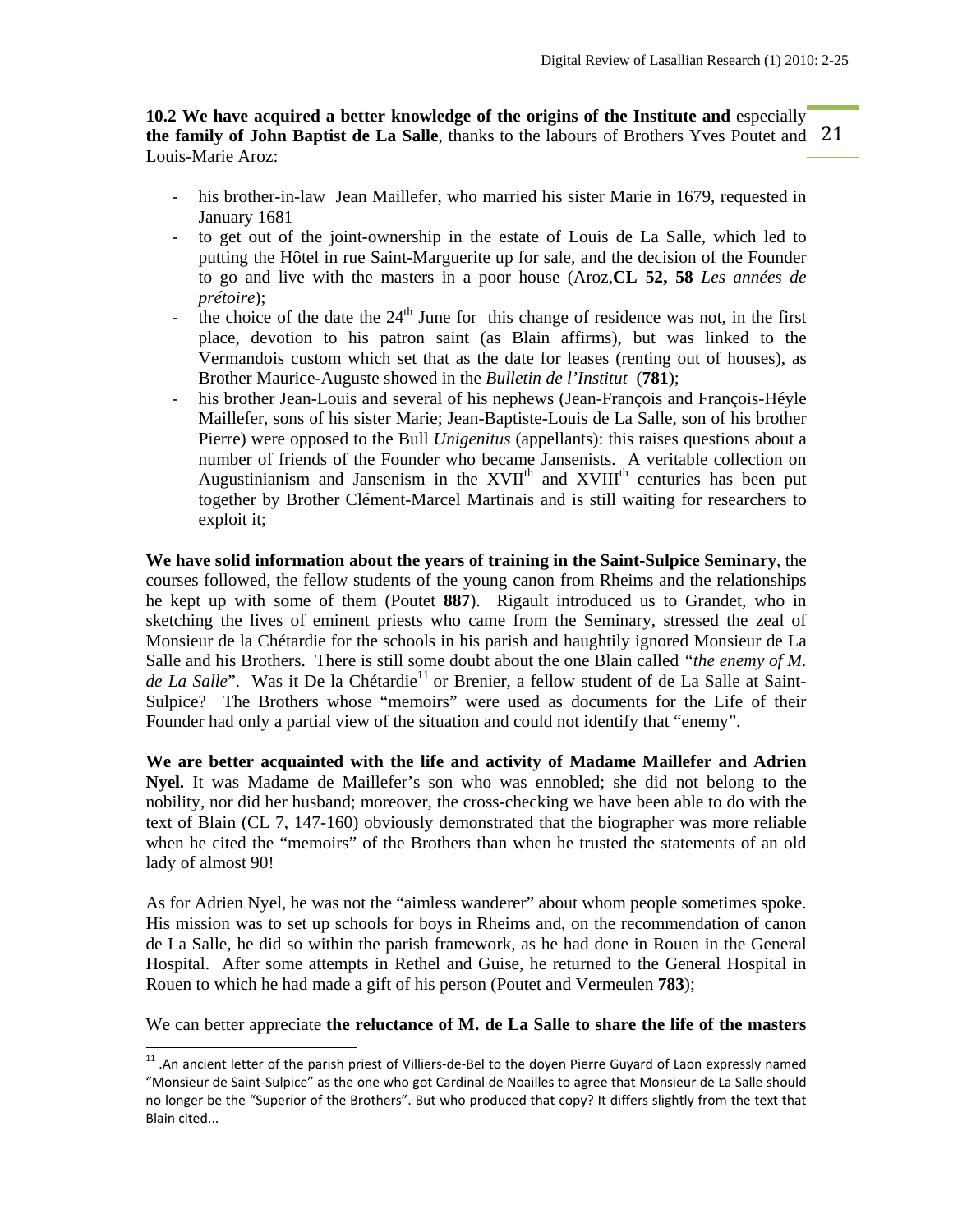the family of John Baptist de La Salle, thanks to the labours of Brothers Yves Poutet and 21 **10.2 We have acquired a better knowledge of the origins of the Institute and** especially Louis-Marie Aroz:

- his brother-in-law Jean Maillefer, who married his sister Marie in 1679, requested in January 1681
- to get out of the joint-ownership in the estate of Louis de La Salle, which led to putting the Hôtel in rue Saint-Marguerite up for sale, and the decision of the Founder to go and live with the masters in a poor house (Aroz,**CL 52, 58** *Les années de prétoire*);
- the choice of the date the  $24<sup>th</sup>$  June for this change of residence was not, in the first place, devotion to his patron saint (as Blain affirms), but was linked to the Vermandois custom which set that as the date for leases (renting out of houses), as Brother Maurice-Auguste showed in the *Bulletin de l'Institut* (**781**);
- his brother Jean-Louis and several of his nephews (Jean-François and François-Héyle Maillefer, sons of his sister Marie; Jean-Baptiste-Louis de La Salle, son of his brother Pierre) were opposed to the Bull *Unigenitus* (appellants): this raises questions about a number of friends of the Founder who became Jansenists. A veritable collection on Augustinianism and Jansenism in the  $XVII<sup>th</sup>$  and  $XVIII<sup>th</sup>$  centuries has been put together by Brother Clément-Marcel Martinais and is still waiting for researchers to exploit it;

**We have solid information about the years of training in the Saint-Sulpice Seminary**, the courses followed, the fellow students of the young canon from Rheims and the relationships he kept up with some of them (Poutet **887**). Rigault introduced us to Grandet, who in sketching the lives of eminent priests who came from the Seminary, stressed the zeal of Monsieur de la Chétardie for the schools in his parish and haughtily ignored Monsieur de La Salle and his Brothers. There is still some doubt about the one Blain called *"the enemy of M. de La Salle*". Was it De la Chétardie<sup>11</sup> or Brenier, a fellow student of de La Salle at Saint-Sulpice? The Brothers whose "memoirs" were used as documents for the Life of their Founder had only a partial view of the situation and could not identify that "enemy".

**We are better acquainted with the life and activity of Madame Maillefer and Adrien Nyel.** It was Madame de Maillefer's son who was ennobled; she did not belong to the nobility, nor did her husband; moreover, the cross-checking we have been able to do with the text of Blain (CL 7, 147-160) obviously demonstrated that the biographer was more reliable when he cited the "memoirs" of the Brothers than when he trusted the statements of an old lady of almost 90!

As for Adrien Nyel, he was not the "aimless wanderer" about whom people sometimes spoke. His mission was to set up schools for boys in Rheims and, on the recommendation of canon de La Salle, he did so within the parish framework, as he had done in Rouen in the General Hospital. After some attempts in Rethel and Guise, he returned to the General Hospital in Rouen to which he had made a gift of his person (Poutet and Vermeulen **783**);

We can better appreciate **the reluctance of M. de La Salle to share the life of the masters** 

<sup>11</sup> .An ancient letter of the parish priest of Villiers‐de‐Bel to the doyen Pierre Guyard of Laon expressly named "Monsieur de Saint‐Sulpice" as the one who got Cardinal de Noailles to agree that Monsieur de La Salle should no longer be the "Superior of the Brothers". But who produced that copy? It differs slightly from the text that Blain cited...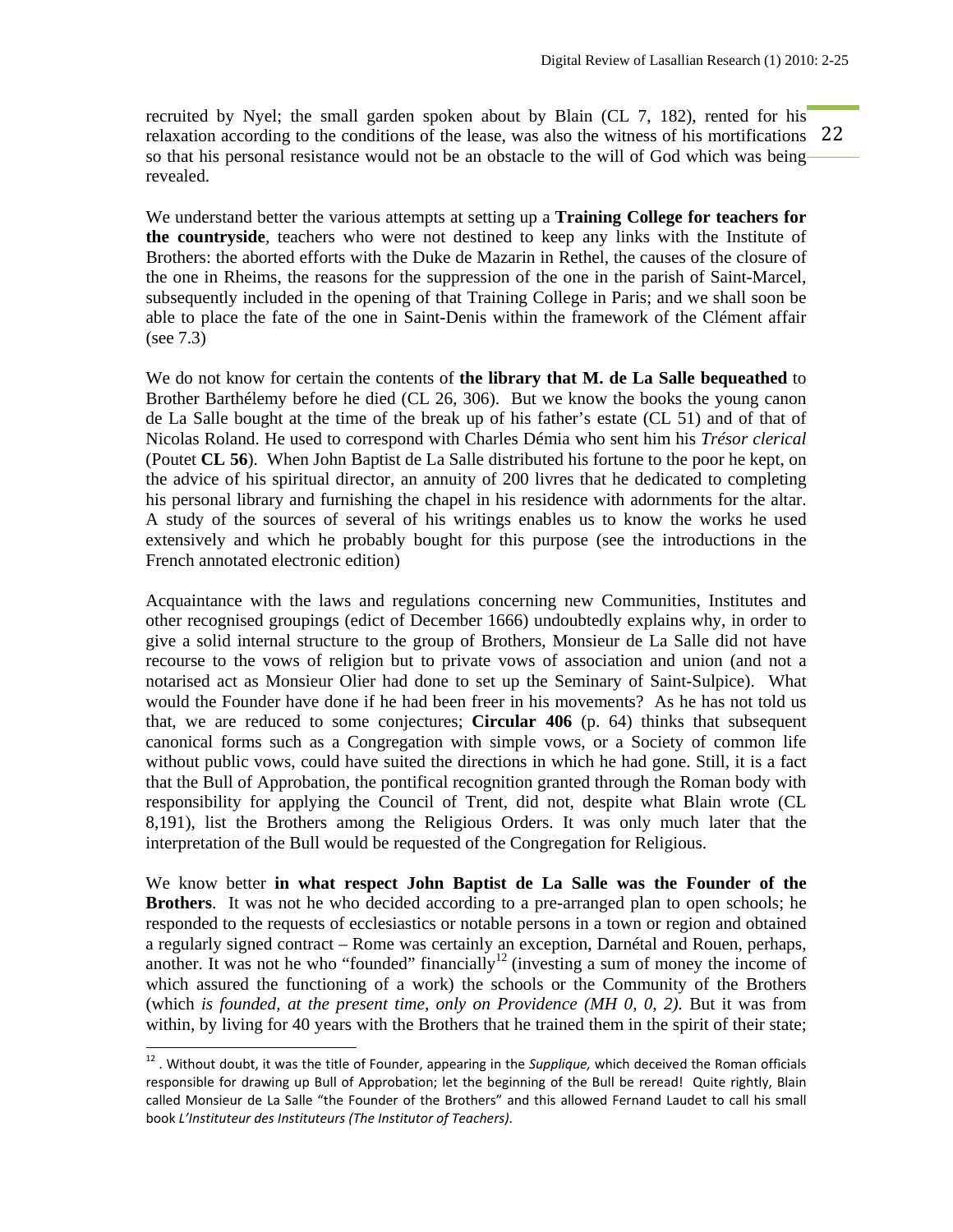relaxation according to the conditions of the lease, was also the witness of his mortifications 22 recruited by Nyel; the small garden spoken about by Blain (CL 7, 182), rented for his so that his personal resistance would not be an obstacle to the will of God which was being revealed.

We understand better the various attempts at setting up a **Training College for teachers for the countryside**, teachers who were not destined to keep any links with the Institute of Brothers: the aborted efforts with the Duke de Mazarin in Rethel, the causes of the closure of the one in Rheims, the reasons for the suppression of the one in the parish of Saint-Marcel, subsequently included in the opening of that Training College in Paris; and we shall soon be able to place the fate of the one in Saint-Denis within the framework of the Clément affair (see 7.3)

We do not know for certain the contents of **the library that M. de La Salle bequeathed** to Brother Barthélemy before he died (CL 26, 306). But we know the books the young canon de La Salle bought at the time of the break up of his father's estate (CL 51) and of that of Nicolas Roland. He used to correspond with Charles Démia who sent him his *Trésor clerical*  (Poutet **CL 56**). When John Baptist de La Salle distributed his fortune to the poor he kept, on the advice of his spiritual director, an annuity of 200 livres that he dedicated to completing his personal library and furnishing the chapel in his residence with adornments for the altar. A study of the sources of several of his writings enables us to know the works he used extensively and which he probably bought for this purpose (see the introductions in the French annotated electronic edition)

Acquaintance with the laws and regulations concerning new Communities, Institutes and other recognised groupings (edict of December 1666) undoubtedly explains why, in order to give a solid internal structure to the group of Brothers, Monsieur de La Salle did not have recourse to the vows of religion but to private vows of association and union (and not a notarised act as Monsieur Olier had done to set up the Seminary of Saint-Sulpice). What would the Founder have done if he had been freer in his movements? As he has not told us that, we are reduced to some conjectures; **Circular 406** (p. 64) thinks that subsequent canonical forms such as a Congregation with simple vows, or a Society of common life without public vows, could have suited the directions in which he had gone. Still, it is a fact that the Bull of Approbation, the pontifical recognition granted through the Roman body with responsibility for applying the Council of Trent, did not, despite what Blain wrote (CL 8,191), list the Brothers among the Religious Orders. It was only much later that the interpretation of the Bull would be requested of the Congregation for Religious.

We know better **in what respect John Baptist de La Salle was the Founder of the Brothers**. It was not he who decided according to a pre-arranged plan to open schools; he responded to the requests of ecclesiastics or notable persons in a town or region and obtained a regularly signed contract – Rome was certainly an exception, Darnétal and Rouen, perhaps, another. It was not he who "founded" financially<sup>12</sup> (investing a sum of money the income of which assured the functioning of a work) the schools or the Community of the Brothers (which *is founded, at the present time, only on Providence (MH 0, 0, 2)*. But it was from within, by living for 40 years with the Brothers that he trained them in the spirit of their state;

<sup>12</sup> . Without doubt, it was the title of Founder, appearing in the *Supplique,* which deceived the Roman officials responsible for drawing up Bull of Approbation; let the beginning of the Bull be reread! Quite rightly, Blain called Monsieur de La Salle "the Founder of the Brothers" and this allowed Fernand Laudet to call his small book *L'Instituteur des Instituteurs (The Institutor of Teachers)*.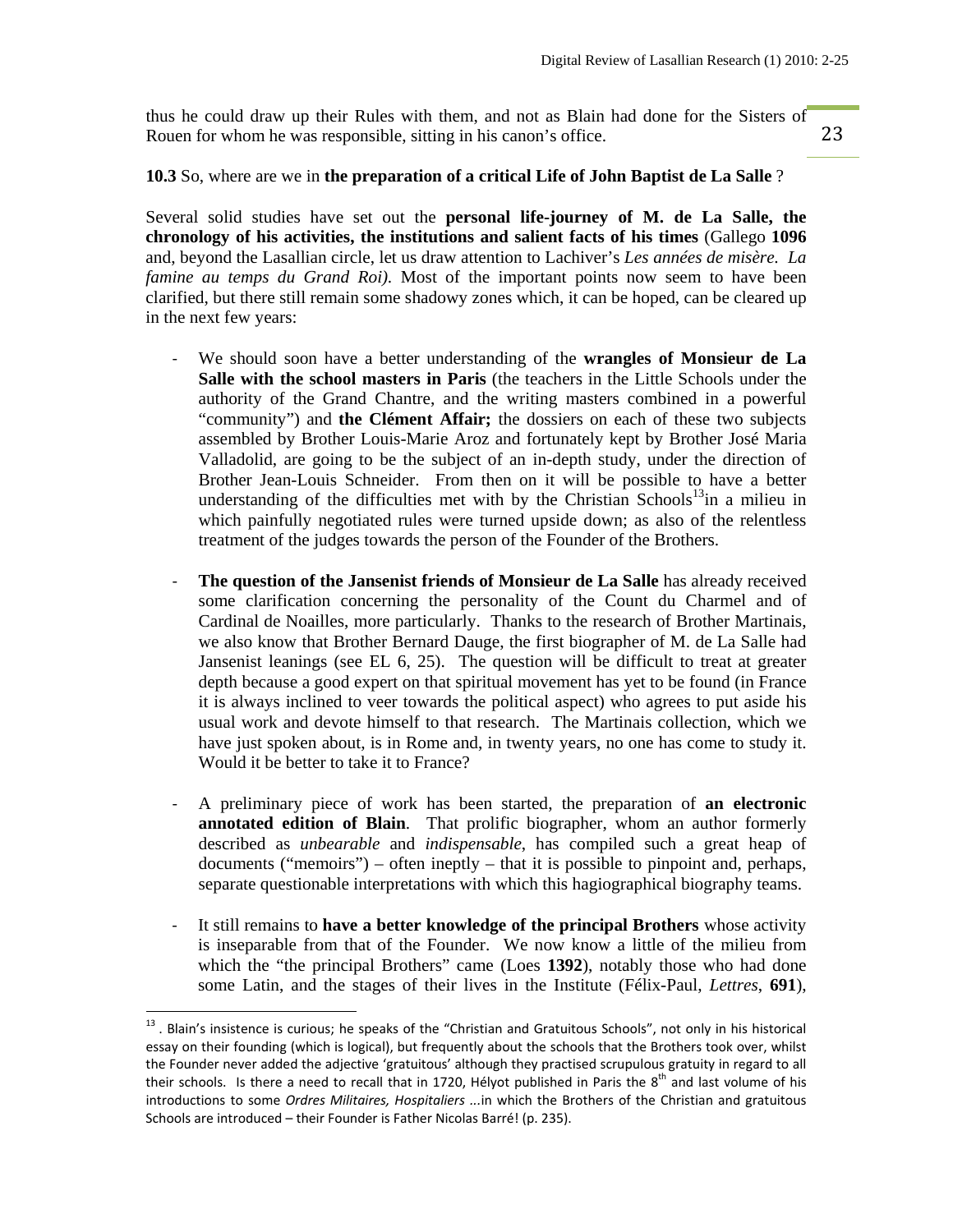thus he could draw up their Rules with them, and not as Blain had done for the Sisters of Rouen for whom he was responsible, sitting in his canon's office.

23

#### **10.3** So, where are we in **the preparation of a critical Life of John Baptist de La Salle** ?

Several solid studies have set out the **personal life-journey of M. de La Salle, the chronology of his activities, the institutions and salient facts of his times** (Gallego **1096** and, beyond the Lasallian circle, let us draw attention to Lachiver's *Les années de misère. La famine au temps du Grand Roi).* Most of the important points now seem to have been clarified, but there still remain some shadowy zones which, it can be hoped, can be cleared up in the next few years:

- ‐ We should soon have a better understanding of the **wrangles of Monsieur de La Salle with the school masters in Paris** (the teachers in the Little Schools under the authority of the Grand Chantre, and the writing masters combined in a powerful "community") and **the Clément Affair;** the dossiers on each of these two subjects assembled by Brother Louis-Marie Aroz and fortunately kept by Brother José Maria Valladolid, are going to be the subject of an in-depth study, under the direction of Brother Jean-Louis Schneider. From then on it will be possible to have a better understanding of the difficulties met with by the Christian Schools<sup>13</sup>in a milieu in which painfully negotiated rules were turned upside down; as also of the relentless treatment of the judges towards the person of the Founder of the Brothers.
- ‐ **The question of the Jansenist friends of Monsieur de La Salle** has already received some clarification concerning the personality of the Count du Charmel and of Cardinal de Noailles, more particularly. Thanks to the research of Brother Martinais, we also know that Brother Bernard Dauge, the first biographer of M. de La Salle had Jansenist leanings (see EL 6, 25). The question will be difficult to treat at greater depth because a good expert on that spiritual movement has yet to be found (in France it is always inclined to veer towards the political aspect) who agrees to put aside his usual work and devote himself to that research. The Martinais collection, which we have just spoken about, is in Rome and, in twenty years, no one has come to study it. Would it be better to take it to France?
- ‐ A preliminary piece of work has been started, the preparation of **an electronic annotated edition of Blain**. That prolific biographer, whom an author formerly described as *unbearable* and *indispensable*, has compiled such a great heap of documents ("memoirs") – often ineptly – that it is possible to pinpoint and, perhaps, separate questionable interpretations with which this hagiographical biography teams.
- ‐ It still remains to **have a better knowledge of the principal Brothers** whose activity is inseparable from that of the Founder. We now know a little of the milieu from which the "the principal Brothers" came (Loes **1392**), notably those who had done some Latin, and the stages of their lives in the Institute (Félix-Paul, *Lettres*, **691**),

 $^{13}$  . Blain's insistence is curious; he speaks of the "Christian and Gratuitous Schools", not only in his historical essay on their founding (which is logical), but frequently about the schools that the Brothers took over, whilst the Founder never added the adjective 'gratuitous' although they practised scrupulous gratuity in regard to all their schools. Is there a need to recall that in 1720, Hélyot published in Paris the  $8^{th}$  and last volume of his introductions to some *Ordres Militaires, Hospitaliers ...*in which the Brothers of the Christian and gratuitous Schools are introduced – their Founder is Father Nicolas Barré! (p. 235).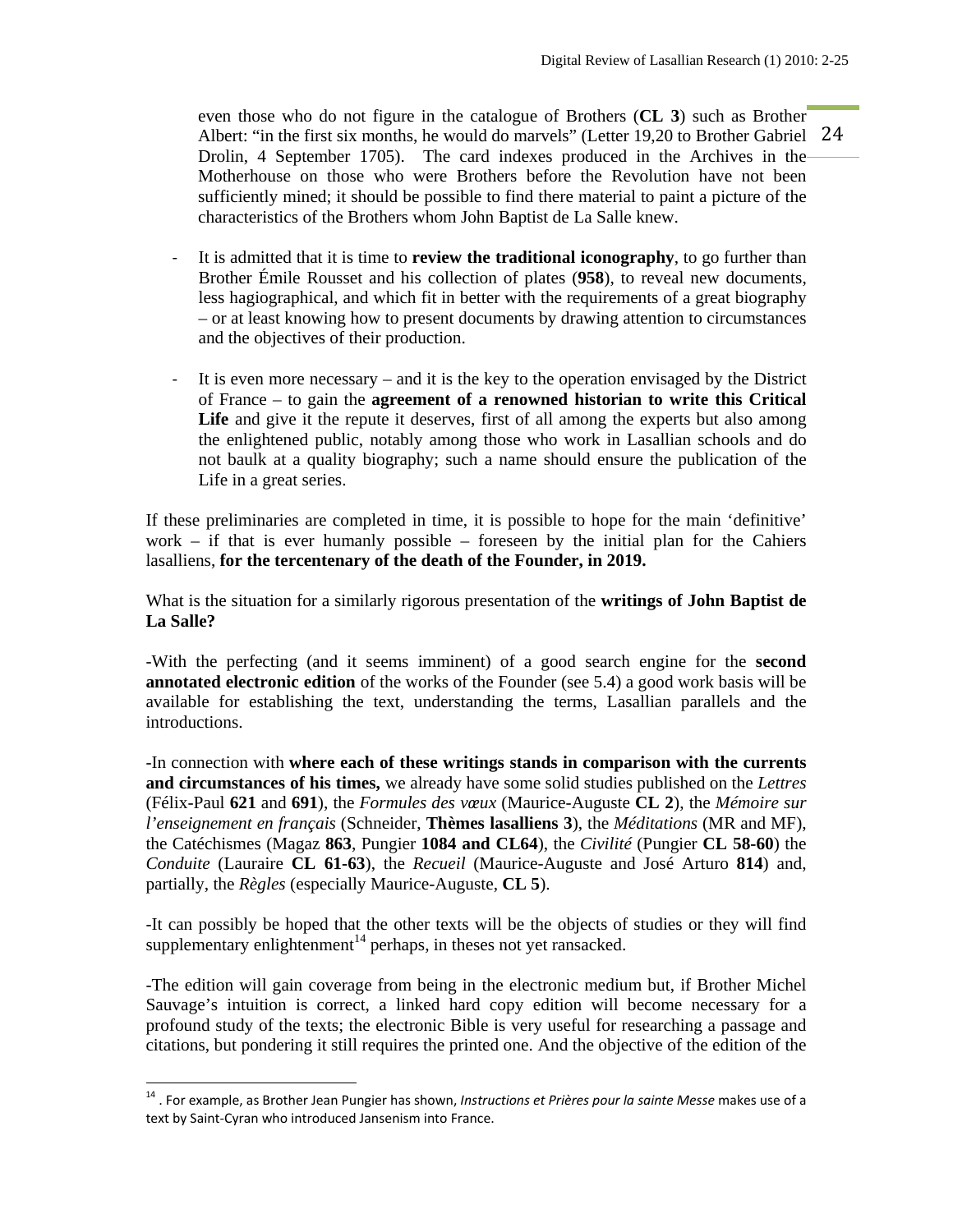Albert: "in the first six months, he would do marvels" (Letter 19,20 to Brother Gabriel 24 even those who do not figure in the catalogue of Brothers (**CL 3**) such as Brother Drolin, 4 September 1705). The card indexes produced in the Archives in the Motherhouse on those who were Brothers before the Revolution have not been sufficiently mined; it should be possible to find there material to paint a picture of the characteristics of the Brothers whom John Baptist de La Salle knew.

- ‐ It is admitted that it is time to **review the traditional iconography**, to go further than Brother Émile Rousset and his collection of plates (**958**), to reveal new documents, less hagiographical, and which fit in better with the requirements of a great biography – or at least knowing how to present documents by drawing attention to circumstances and the objectives of their production.
- ‐ It is even more necessary and it is the key to the operation envisaged by the District of France – to gain the **agreement of a renowned historian to write this Critical**  Life and give it the repute it deserves, first of all among the experts but also among the enlightened public, notably among those who work in Lasallian schools and do not baulk at a quality biography; such a name should ensure the publication of the Life in a great series.

If these preliminaries are completed in time, it is possible to hope for the main 'definitive' work – if that is ever humanly possible – foreseen by the initial plan for the Cahiers lasalliens, **for the tercentenary of the death of the Founder, in 2019.** 

What is the situation for a similarly rigorous presentation of the **writings of John Baptist de La Salle?** 

-With the perfecting (and it seems imminent) of a good search engine for the **second annotated electronic edition** of the works of the Founder (see 5.4) a good work basis will be available for establishing the text, understanding the terms, Lasallian parallels and the introductions.

-In connection with **where each of these writings stands in comparison with the currents and circumstances of his times,** we already have some solid studies published on the *Lettres* (Félix-Paul **621** and **691**), the *Formules des vœux* (Maurice-Auguste **CL 2**), the *Mémoire sur l'enseignement en français* (Schneider, **Thèmes lasalliens 3**), the *Méditations* (MR and MF), the Catéchismes (Magaz **863**, Pungier **1084 and CL64**), the *Civilité* (Pungier **CL 58-60**) the *Conduite* (Lauraire **CL 61-63**), the *Recueil* (Maurice-Auguste and José Arturo **814**) and, partially, the *Règles* (especially Maurice-Auguste, **CL 5**).

-It can possibly be hoped that the other texts will be the objects of studies or they will find supplementary enlightenment<sup>14</sup> perhaps, in theses not yet ransacked.

-The edition will gain coverage from being in the electronic medium but, if Brother Michel Sauvage's intuition is correct, a linked hard copy edition will become necessary for a profound study of the texts; the electronic Bible is very useful for researching a passage and citations, but pondering it still requires the printed one. And the objective of the edition of the

<sup>14</sup> . For example, as Brother Jean Pungier has shown, *Instructions et Prières pour la sainte Messe* makes use of a text by Saint‐Cyran who introduced Jansenism into France.